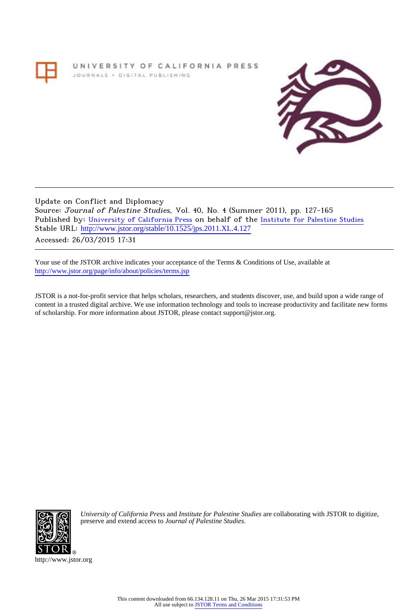# UNIVERSITY OF CALIFORNIA PRESS JOURNALS + DIGITAL PUBLISHING



Update on Conflict and Diplomacy Source: Journal of Palestine Studies, Vol. 40, No. 4 (Summer 2011), pp. 127-165 Published by: [University of California Press](http://www.jstor.org/action/showPublisher?publisherCode=ucal) on behalf of the [Institute for Palestine Studies](http://www.jstor.org/action/showPublisher?publisherCode=palstud) Stable URL: [http://www.jstor.org/stable/10.1525/jps.2011.XL.4.127](http://www.jstor.org/stable/10.1525/jps.2011.XL.4.127?origin=JSTOR-pdf) . Accessed: 26/03/2015 17:31

Your use of the JSTOR archive indicates your acceptance of the Terms & Conditions of Use, available at <http://www.jstor.org/page/info/about/policies/terms.jsp>

JSTOR is a not-for-profit service that helps scholars, researchers, and students discover, use, and build upon a wide range of content in a trusted digital archive. We use information technology and tools to increase productivity and facilitate new forms of scholarship. For more information about JSTOR, please contact support@jstor.org.



*University of California Press* and *Institute for Palestine Studies* are collaborating with JSTOR to digitize, preserve and extend access to *Journal of Palestine Studies.*

http://www.jstor.org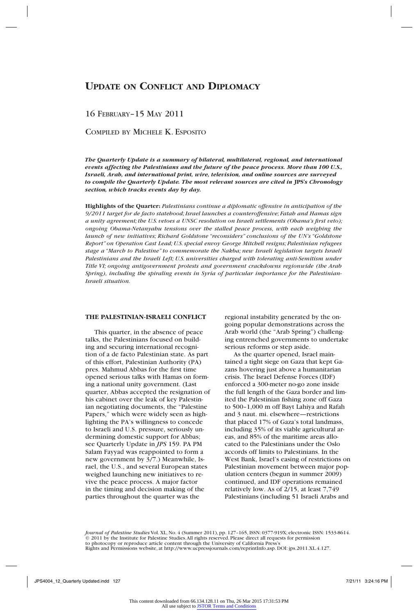# **Update on Conflict and Diplomacy**

# 16 February–15 May 2011

Compiled by Michele K. Esposito

*The Quarterly Update is a summary of bilateral, multilateral, regional, and international events affecting the Palestinians and the future of the peace process. More than 100 U.S., Israeli, Arab, and international print, wire, television, and online sources are surveyed to compile the Quarterly Update. The most relevant sources are cited in IPS's Chronology section, which tracks events day by day.*

**Highlights of the Quarter:** *Palestinians continue a diplomatic offensive in anticipation of the 9/2011 target for de facto statehood; Israel launches a counteroffensive; Fatah and Hamas sign a unity agreement; the U.S. vetoes a UNSC resolution on Israeli settlements (Obama's first veto); ongoing Obama-Netanyahu tensions over the stalled peace process, with each weighing the launch of new initiatives; Richard Goldstone "reconsiders" conclusions of the UN's "Goldstone Report" on Operation Cast Lead; U.S. special envoy George Mitchell resigns; Palestinian refugees stage a "March to Palestine" to commemorate the Nakba; new Israeli legislation targets Israeli Palestinians and the Israeli Left; U.S. universities charged with tolerating anti-Semitism under Title VI; ongoing antigovernment protests and government crackdowns regionwide (the Arab Spring), including the spiraling events in Syria of particular importance for the Palestinian-Israeli situation.*

# **THE PALESTINIAN-ISRAELI CONFLICT**

This quarter, in the absence of peace talks, the Palestinians focused on building and securing international recognition of a de facto Palestinian state. As part of this effort, Palestinian Authority (PA) pres. Mahmud Abbas for the first time opened serious talks with Hamas on forming a national unity government. (Last quarter, Abbas accepted the resignation of his cabinet over the leak of key Palestinian negotiating documents, the "Palestine Papers," which were widely seen as highlighting the PA's willingness to concede to Israeli and U.S. pressure, seriously undermining domestic support for Abbas; see Quarterly Update in *JPS* 159. PA PM Salam Fayyad was reappointed to form a new government by 3/7.) Meanwhile, Israel, the U.S., and several European states weighed launching new initiatives to revive the peace process. A major factor in the timing and decision making of the parties throughout the quarter was the

regional instability generated by the ongoing popular demonstrations across the Arab world (the "Arab Spring") challenging entrenched governments to undertake serious reforms or step aside.

As the quarter opened, Israel maintained a tight siege on Gaza that kept Gazans hovering just above a humanitarian crisis. The Israel Defense Forces (IDF) enforced a 300-meter no-go zone inside the full length of the Gaza border and limited the Palestinian fishing zone off Gaza to 500–1,000 m off Bayt Lahiya and Rafah and 3 naut. mi. elsewhere—restrictions that placed 17% of Gaza's total landmass, including 35% of its viable agricultural areas, and 85% of the maritime areas allocated to the Palestinians under the Oslo accords off limits to Palestinians. In the West Bank, Israel's easing of restrictions on Palestinian movement between major population centers (begun in summer 2009) continued, and IDF operations remained relatively low. As of 2/15, at least 7,749 Palestinians (including 51 Israeli Arabs and

*Journal of Palestine Studies* Vol. XL, No. 4 (Summer 2011), pp. 127–165, ISSN: 0377-919X; electronic ISSN: 1533-8614. © 2011 by the Institute for Palestine Studies. All rights reserved. Please direct all requests for permission to photocopy or reproduce article content through the University of California Press's Rights and Permissions website, at http://www.ucpressjournals.com/reprintInfo.asp. DOI: jps.2011.XL.4.127.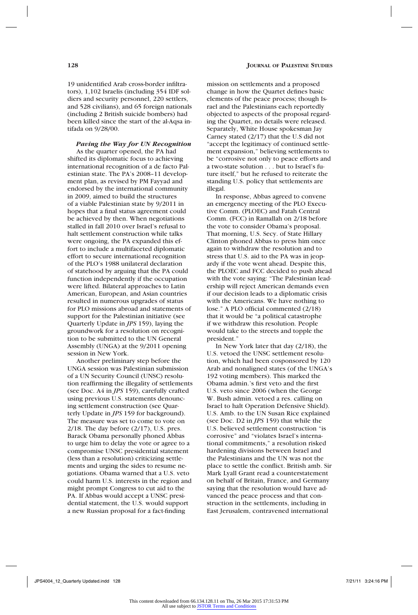19 unidentified Arab cross-border infiltrators), 1,102 Israelis (including 354 IDF soldiers and security personnel, 220 settlers, and 528 civilians), and 65 foreign nationals (including 2 British suicide bombers) had been killed since the start of the al-Aqsa intifada on 9/28/00.

#### *Paving the Way for UN Recognition*

As the quarter opened, the PA had shifted its diplomatic focus to achieving international recognition of a de facto Palestinian state. The PA's 2008–11 development plan, as revised by PM Fayyad and endorsed by the international community in 2009, aimed to build the structures of a viable Palestinian state by 9/2011 in hopes that a final status agreement could be achieved by then. When negotiations stalled in fall 2010 over Israel's refusal to halt settlement construction while talks were ongoing, the PA expanded this effort to include a multifaceted diplomatic effort to secure international recognition of the PLO's 1988 unilateral declaration of statehood by arguing that the PA could function independently if the occupation were lifted. Bilateral approaches to Latin American, European, and Asian countries resulted in numerous upgrades of status for PLO missions abroad and statements of support for the Palestinian initiative (see Quarterly Update in *JPS* 159), laying the groundwork for a resolution on recognition to be submitted to the UN General Assembly (UNGA) at the 9/2011 opening session in New York.

Another preliminary step before the UNGA session was Palestinian submission of a UN Security Council (UNSC) resolution reaffirming the illegality of settlements (see Doc. A4 in *JPS* 159), carefully crafted using previous U.S. statements denouncing settlement construction (see Quarterly Update in *JPS* 159 for background). The measure was set to come to vote on 2/18. The day before (2/17), U.S. pres. Barack Obama personally phoned Abbas to urge him to delay the vote or agree to a compromise UNSC presidential statement (less than a resolution) criticizing settlements and urging the sides to resume negotiations. Obama warned that a U.S. veto could harm U.S. interests in the region and might prompt Congress to cut aid to the PA. If Abbas would accept a UNSC presidential statement, the U.S. would support a new Russian proposal for a fact-finding

mission on settlements and a proposed change in how the Quartet defines basic elements of the peace process; though Israel and the Palestinians each reportedly objected to aspects of the proposal regarding the Quartet, no details were released. Separately, White House spokesman Jay Carney stated (2/17) that the U.S did not "accept the legitimacy of continued settlement expansion," believing settlements to be "corrosive not only to peace efforts and a two-state solution . . . but to Israel's future itself," but he refused to reiterate the standing U.S. policy that settlements are illegal.

In response, Abbas agreed to convene an emergency meeting of the PLO Executive Comm. (PLOEC) and Fatah Central Comm. (FCC) in Ramallah on 2/18 before the vote to consider Obama's proposal. That morning, U.S. Secy. of State Hillary Clinton phoned Abbas to press him once again to withdraw the resolution and to stress that U.S. aid to the PA was in jeopardy if the vote went ahead. Despite this, the PLOEC and FCC decided to push ahead with the vote saying: "The Palestinian leadership will reject American demands even if our decision leads to a diplomatic crisis with the Americans. We have nothing to lose." A PLO official commented (2/18) that it would be "a political catastrophe if we withdraw this resolution. People would take to the streets and topple the president."

In New York later that day (2/18), the U.S. vetoed the UNSC settlement resolution, which had been cosponsored by 120 Arab and nonaligned states (of the UNGA's 192 voting members). This marked the Obama admin.'s first veto and the first U.S. veto since 2006 (when the George W. Bush admin. vetoed a res. calling on Israel to halt Operation Defensive Shield). U.S. Amb. to the UN Susan Rice explained (see Doc. D2 in *JPS* 159) that while the U.S. believed settlement construction "is corrosive" and "violates Israel's international commitments," a resolution risked hardening divisions between Israel and the Palestinians and the UN was not the place to settle the conflict. British amb. Sir Mark Lyall Grant read a counterstatement on behalf of Britain, France, and Germany saying that the resolution would have advanced the peace process and that construction in the settlements, including in East Jerusalem, contravened international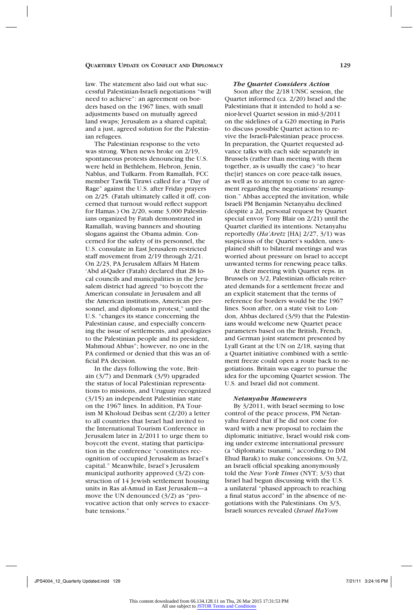law. The statement also laid out what successful Palestinian-Israeli negotiations "will need to achieve": an agreement on borders based on the 1967 lines, with small adjustments based on mutually agreed land swaps; Jerusalem as a shared capital; and a just, agreed solution for the Palestinian refugees.

The Palestinian response to the veto was strong. When news broke on 2/19, spontaneous protests denouncing the U.S. were held in Bethlehem, Hebron, Jenin, Nablus, and Tulkarm. From Ramallah, FCC member Tawfik Tirawi called for a "Day of Rage" against the U.S. after Friday prayers on 2/25. (Fatah ultimately called it off, concerned that turnout would reflect support for Hamas.) On 2/20, some 3,000 Palestinians organized by Fatah demonstrated in Ramallah, waving banners and shouting slogans against the Obama admin. Concerned for the safety of its personnel, the U.S. consulate in East Jerusalem restricted staff movement from 2/19 through 2/21. On 2/23, PA Jerusalem Affairs M Hatem 'Abd al-Qader (Fatah) declared that 28 local councils and municipalities in the Jerusalem district had agreed "to boycott the American consulate in Jerusalem and all the American institutions, American personnel, and diplomats in protest," until the U.S. "changes its stance concerning the Palestinian cause, and especially concerning the issue of settlements, and apologizes to the Palestinian people and its president, Mahmoud Abbas"; however, no one in the PA confirmed or denied that this was an official PA decision.

In the days following the vote, Britain (3/7) and Denmark (3/9) upgraded the status of local Palestinian representations to missions, and Uruguay recognized (3/15) an independent Palestinian state on the 1967 lines. In addition, PA Tourism M Kholoud Deibas sent (2/20) a letter to all countries that Israel had invited to the International Tourism Conference in Jerusalem later in 2/2011 to urge them to boycott the event, stating that participation in the conference "constitutes recognition of occupied Jerusalem as Israel's capital." Meanwhile, Israel's Jerusalem municipal authority approved (3/2) construction of 14 Jewish settlement housing units in Ras al-Amud in East Jerusalem—a move the UN denounced (3/2) as "provocative action that only serves to exacerbate tensions."

# *The Quartet Considers Action*

Soon after the 2/18 UNSC session, the Quartet informed (ca. 2/20) Israel and the Palestinians that it intended to hold a senior-level Quartet session in mid-3/2011 on the sidelines of a G20 meeting in Paris to discuss possible Quartet action to revive the Israeli-Palestinian peace process. In preparation, the Quartet requested advance talks with each side separately in Brussels (rather than meeting with them together, as is usually the case) "to hear the[ir] stances on core peace-talk issues, as well as to attempt to come to an agreement regarding the negotiations' resumption." Abbas accepted the invitation, while Israeli PM Benjamin Netanyahu declined (despite a 2d, personal request by Quartet special envoy Tony Blair on 2/21) until the Quartet clarified its intentions. Netanyahu reportedly (*Ha'Aretz* [HA] 2/27, 3/1) was suspicious of the Quartet's sudden, unexplained shift to bilateral meetings and was worried about pressure on Israel to accept unwanted terms for renewing peace talks.

At their meeting with Quartet reps. in Brussels on 3/2, Palestinian officials reiterated demands for a settlement freeze and an explicit statement that the terms of reference for borders would be the 1967 lines. Soon after, on a state visit to London, Abbas declared (3/9) that the Palestinians would welcome new Quartet peace parameters based on the British, French, and German joint statement presented by Lyall Grant at the UN on 2/18, saying that a Quartet initiative combined with a settlement freeze could open a route back to negotiations. Britain was eager to pursue the idea for the upcoming Quartet session. The U.S. and Israel did not comment.

#### *Netanyahu Maneuvers*

By 3/2011, with Israel seeming to lose control of the peace process, PM Netanyahu feared that if he did not come forward with a new proposal to reclaim the diplomatic initiative, Israel would risk coming under extreme international pressure (a "diplomatic tsunami," according to DM Ehud Barak) to make concessions. On 3/2, an Israeli official speaking anonymously told the *New York Times* (NYT; 3/3) that Israel had begun discussing with the U.S. a unilateral "phased approach to reaching a final status accord" in the absence of negotiations with the Palestinians. On 3/3, Israeli sources revealed (*Israel HaYom*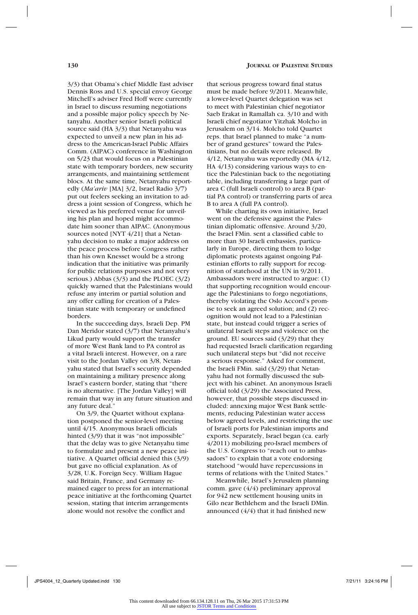3/3) that Obama's chief Middle East adviser Dennis Ross and U.S. special envoy George Mitchell's adviser Fred Hoff were currently in Israel to discuss resuming negotiations and a possible major policy speech by Netanyahu. Another senior Israeli political source said (HA 3/3) that Netanyahu was expected to unveil a new plan in his address to the American-Israel Public Affairs Comm. (AIPAC) conference in Washington on 5/23 that would focus on a Palestinian state with temporary borders, new security arrangements, and maintaining settlement blocs. At the same time, Netanyahu reportedly (*Ma'ariv* [MA] 3/2, Israel Radio 3/7) put out feelers seeking an invitation to address a joint session of Congress, which he viewed as his preferred venue for unveiling his plan and hoped might accommodate him sooner than AIPAC. (Anonymous sources noted [NYT 4/21] that a Netanyahu decision to make a major address on the peace process before Congress rather than his own Knesset would be a strong indication that the initiative was primarily for public relations purposes and not very serious.) Abbas (3/3) and the PLOEC (3/2) quickly warned that the Palestinians would refuse any interim or partial solution and any offer calling for creation of a Palestinian state with temporary or undefined borders.

In the succeeding days, Israeli Dep. PM Dan Meridor stated (3/7) that Netanyahu's Likud party would support the transfer of more West Bank land to PA control as a vital Israeli interest. However, on a rare visit to the Jordan Valley on 3/8, Netanyahu stated that Israel's security depended on maintaining a military presence along Israel's eastern border, stating that "there is no alternative. [The Jordan Valley] will remain that way in any future situation and any future deal."

On 3/9, the Quartet without explanation postponed the senior-level meeting until 4/15. Anonymous Israeli officials hinted (3/9) that it was "not impossible" that the delay was to give Netanyahu time to formulate and present a new peace initiative. A Quartet official denied this (3/9) but gave no official explanation. As of 3/28, U.K. Foreign Secy. William Hague said Britain, France, and Germany remained eager to press for an international peace initiative at the forthcoming Quartet session, stating that interim arrangements alone would not resolve the conflict and

that serious progress toward final status must be made before 9/2011. Meanwhile, a lower-level Quartet delegation was set to meet with Palestinian chief negotiator Saeb Erakat in Ramallah ca. 3/10 and with Israeli chief negotiator Yitzhak Molcho in Jerusalem on 3/14. Molcho told Quartet reps. that Israel planned to make "a number of grand gestures" toward the Palestinians, but no details were released. By 4/12, Netanyahu was reportedly (MA 4/12, HA 4/13) considering various ways to entice the Palestinian back to the negotiating table, including transferring a large part of area C (full Israeli control) to area B (partial PA control) or transferring parts of area B to area A (full PA control).

While charting its own initiative, Israel went on the defensive against the Palestinian diplomatic offensive. Around 3/20, the Israel FMin. sent a classified cable to more than 30 Israeli embassies, particularly in Europe, directing them to lodge diplomatic protests against ongoing Palestinian efforts to rally support for recognition of statehood at the UN in 9/2011. Ambassadors were instructed to argue: (1) that supporting recognition would encourage the Palestinians to forgo negotiations, thereby violating the Oslo Accord's promise to seek an agreed solution; and (2) recognition would not lead to a Palestinian state, but instead could trigger a series of unilateral Israeli steps and violence on the ground. EU sources said (3/29) that they had requested Israeli clarification regarding such unilateral steps but "did not receive a serious response." Asked for comment, the Israeli FMin. said (3/29) that Netanyahu had not formally discussed the subject with his cabinet. An anonymous Israeli official told (3/29) the Associated Press, however, that possible steps discussed included: annexing major West Bank settlements, reducing Palestinian water access below agreed levels, and restricting the use of Israeli ports for Palestinian imports and exports. Separately, Israel began (ca. early 4/2011) mobilizing pro-Israel members of the U.S. Congress to "reach out to ambassadors" to explain that a vote endorsing statehood "would have repercussions in terms of relations with the United States."

Meanwhile, Israel's Jerusalem planning comm. gave (4/4) preliminary approval for 942 new settlement housing units in Gilo near Bethlehem and the Israeli DMin. announced (4/4) that it had finished new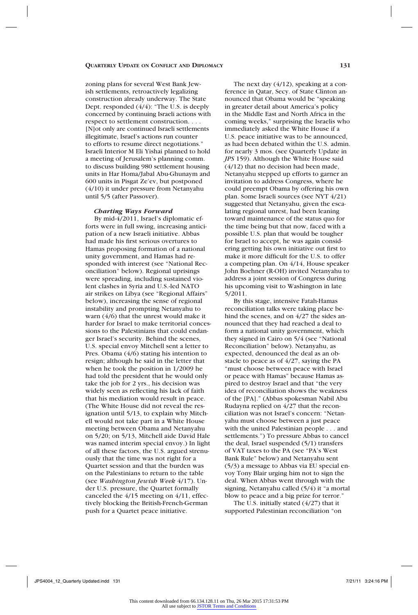zoning plans for several West Bank Jewish settlements, retroactively legalizing construction already underway. The State Dept. responded (4/4): "The U.S. is deeply concerned by continuing Israeli actions with respect to settlement construction. . . . [N]ot only are continued Israeli settlements illegitimate, Israel's actions run counter to efforts to resume direct negotiations." Israeli Interior M Eli Yishai planned to hold a meeting of Jerusalem's planning comm. to discuss building 980 settlement housing units in Har Homa/Jabal Abu-Ghunaym and 600 units in Pisgat Ze'ev, but postponed (4/10) it under pressure from Netanyahu until 5/5 (after Passover).

#### *Charting Ways Forward*

By mid-4/2011, Israel's diplomatic efforts were in full swing, increasing anticipation of a new Israeli initiative. Abbas had made his first serious overtures to Hamas proposing formation of a national unity government, and Hamas had responded with interest (see "National Reconciliation" below). Regional uprisings were spreading, including sustained violent clashes in Syria and U.S.-led NATO air strikes on Libya (see "Regional Affairs" below), increasing the sense of regional instability and prompting Netanyahu to warn (4/6) that the unrest would make it harder for Israel to make territorial concessions to the Palestinians that could endanger Israel's security. Behind the scenes, U.S. special envoy Mitchell sent a letter to Pres. Obama (4/6) stating his intention to resign; although he said in the letter that when he took the position in 1/2009 he had told the president that he would only take the job for 2 yrs., his decision was widely seen as reflecting his lack of faith that his mediation would result in peace. (The White House did not reveal the resignation until 5/13, to explain why Mitchell would not take part in a White House meeting between Obama and Netanyahu on 5/20; on 5/13, Mitchell aide David Hale was named interim special envoy.) In light of all these factors, the U.S. argued strenuously that the time was not right for a Quartet session and that the burden was on the Palestinians to return to the table (see *Washington Jewish Week* 4/17). Under U.S. pressure, the Quartet formally canceled the 4/15 meeting on 4/11, effectively blocking the British-French-German push for a Quartet peace initiative.

The next day  $(4/12)$ , speaking at a conference in Qatar, Secy. of State Clinton announced that Obama would be "speaking in greater detail about America's policy in the Middle East and North Africa in the coming weeks," surprising the Israelis who immediately asked the White House if a U.S. peace initiative was to be announced, as had been debated within the U.S. admin. for nearly 3 mos. (see Quarterly Update in *JPS* 159). Although the White House said (4/12) that no decision had been made, Netanyahu stepped up efforts to garner an invitation to address Congress, where he could preempt Obama by offering his own plan. Some Israeli sources (see NYT 4/21) suggested that Netanyahu, given the escalating regional unrest, had been leaning toward maintenance of the status quo for the time being but that now, faced with a possible U.S. plan that would be tougher for Israel to accept, he was again considering getting his own initiative out first to make it more difficult for the U.S. to offer a competing plan. On 4/14, House speaker John Boehner (R-OH) invited Netanyahu to address a joint session of Congress during his upcoming visit to Washington in late 5/2011.

By this stage, intensive Fatah-Hamas reconciliation talks were taking place behind the scenes, and on 4/27 the sides announced that they had reached a deal to form a national unity government, which they signed in Cairo on 5/4 (see "National Reconciliation" below). Netanyahu, as expected, denounced the deal as an obstacle to peace as of 4/27, saying the PA "must choose between peace with Israel or peace with Hamas" because Hamas aspired to destroy Israel and that "the very idea of reconciliation shows the weakness of the [PA]." (Abbas spokesman Nabil Abu Rudayna replied on  $4/27$  that the reconciliation was not Israel's concern: "Netanyahu must choose between a just peace with the united Palestinian people . . . and settlements.") To pressure Abbas to cancel the deal, Israel suspended (5/1) transfers of VAT taxes to the PA (see "PA's West Bank Rule" below) and Netanyahu sent (5/3) a message to Abbas via EU special envoy Tony Blair urging him not to sign the deal. When Abbas went through with the signing, Netanyahu called (5/4) it "a mortal blow to peace and a big prize for terror."

The U.S. initially stated (4/27) that it supported Palestinian reconciliation "on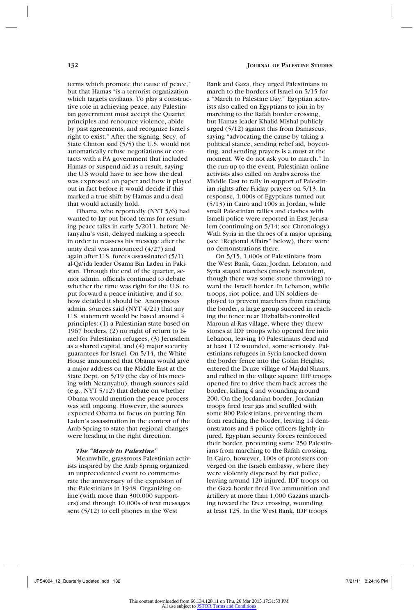terms which promote the cause of peace," but that Hamas "is a terrorist organization which targets civilians. To play a constructive role in achieving peace, any Palestinian government must accept the Quartet principles and renounce violence, abide by past agreements, and recognize Israel's right to exist." After the signing, Secy. of State Clinton said (5/5) the U.S. would not automatically refuse negotiations or contacts with a PA government that included Hamas or suspend aid as a result, saying the U.S would have to see how the deal

was expressed on paper and how it played out in fact before it would decide if this marked a true shift by Hamas and a deal

that would actually hold. Obama, who reportedly (NYT 5/6) had wanted to lay out broad terms for resuming peace talks in early 5/2011, before Netanyahu's visit, delayed making a speech in order to reassess his message after the unity deal was announced (4/27) and again after U.S. forces assassinated (5/1) al-Qa'ida leader Osama Bin Laden in Pakistan. Through the end of the quarter, senior admin. officials continued to debate whether the time was right for the U.S. to put forward a peace initiative, and if so, how detailed it should be. Anonymous admin. sources said (NYT 4/21) that any U.S. statement would be based around 4 principles: (1) a Palestinian state based on 1967 borders, (2) no right of return to Israel for Palestinian refugees, (3) Jerusalem as a shared capital, and (4) major security guarantees for Israel. On 5/14, the White House announced that Obama would give a major address on the Middle East at the State Dept. on 5/19 (the day of his meeting with Netanyahu), though sources said (e.g., NYT 5/12) that debate on whether Obama would mention the peace process was still ongoing. However, the sources expected Obama to focus on putting Bin Laden's assassination in the context of the Arab Spring to state that regional changes were heading in the right direction.

#### *The "March to Palestine"*

Meanwhile, grassroots Palestinian activists inspired by the Arab Spring organized an unprecedented event to commemorate the anniversary of the expulsion of the Palestinians in 1948. Organizing online (with more than 300,000 supporters) and through 10,000s of text messages sent (5/12) to cell phones in the West

Bank and Gaza, they urged Palestinians to march to the borders of Israel on 5/15 for a "March to Palestine Day." Egyptian activists also called on Egyptians to join in by marching to the Rafah border crossing, but Hamas leader Khalid Mishal publicly urged (5/12) against this from Damascus, saying "advocating the cause by taking a political stance, sending relief aid, boycotting, and sending prayers is a must at the

moment. We do not ask you to march." In the run-up to the event, Palestinian online activists also called on Arabs across the Middle East to rally in support of Palestinian rights after Friday prayers on 5/13. In response, 1,000s of Egyptians turned out (5/13) in Cairo and 100s in Jordan, while small Palestinian rallies and clashes with Israeli police were reported in East Jerusalem (continuing on 5/14; see Chronology). With Syria in the throes of a major uprising (see "Regional Affairs" below), there were no demonstrations there.

On 5/15, 1,000s of Palestinians from the West Bank, Gaza, Jordan, Lebanon, and Syria staged marches (mostly nonviolent, though there was some stone throwing) toward the Israeli border. In Lebanon, while troops, riot police, and UN soldiers deployed to prevent marchers from reaching the border, a large group succeed in reaching the fence near Hizballah-controlled Maroun al-Ras village, where they threw stones at IDF troops who opened fire into Lebanon, leaving 10 Palestinians dead and at least 112 wounded, some seriously. Palestinians refugees in Syria knocked down the border fence into the Golan Heights, entered the Druze village of Majdal Shams, and rallied in the village square; IDF troops opened fire to drive them back across the border, killing 4 and wounding around 200. On the Jordanian border, Jordanian troops fired tear gas and scuffled with some 800 Palestinians, preventing them from reaching the border, leaving 14 demonstrators and 3 police officers lightly injured. Egyptian security forces reinforced their border, preventing some 250 Palestinians from marching to the Rafah crossing. In Cairo, however, 100s of protesters converged on the Israeli embassy, where they were violently dispersed by riot police, leaving around 120 injured. IDF troops on the Gaza border fired live ammunition and artillery at more than 1,000 Gazans marching toward the Erez crossing, wounding at least 125. In the West Bank, IDF troops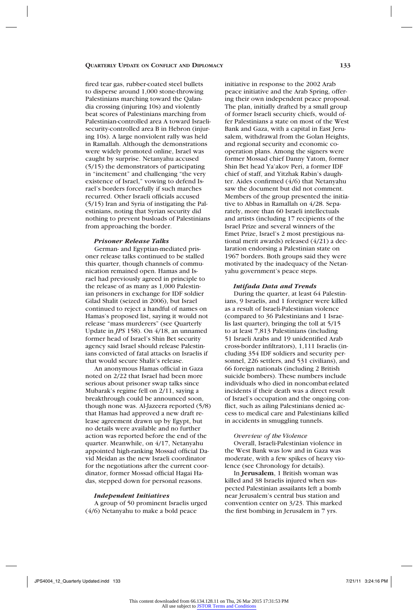fired tear gas, rubber-coated steel bullets to disperse around 1,000 stone-throwing Palestinians marching toward the Qalandia crossing (injuring 10s) and violently beat scores of Palestinians marching from Palestinian-controlled area A toward Israelisecurity-controlled area B in Hebron (injuring 10s). A large nonviolent rally was held in Ramallah. Although the demonstrations were widely promoted online, Israel was caught by surprise. Netanyahu accused (5/15) the demonstrators of participating in "incitement" and challenging "the very existence of Israel," vowing to defend Israel's borders forcefully if such marches recurred. Other Israeli officials accused (5/15) Iran and Syria of instigating the Palestinians, noting that Syrian security did nothing to prevent busloads of Palestinians from approaching the border.

#### *Prisoner Release Talks*

German- and Egyptian-mediated prisoner release talks continued to be stalled this quarter, though channels of communication remained open. Hamas and Israel had previously agreed in principle to the release of as many as 1,000 Palestinian prisoners in exchange for IDF soldier Gilad Shalit (seized in 2006), but Israel continued to reject a handful of names on Hamas's proposed list, saying it would not release "mass murderers" (see Quarterly Update in *JPS* 158). On 4/18, an unnamed former head of Israel's Shin Bet security agency said Israel should release Palestinians convicted of fatal attacks on Israelis if that would secure Shalit's release.

An anonymous Hamas official in Gaza noted on 2/22 that Israel had been more serious about prisoner swap talks since Mubarak's regime fell on 2/11, saying a breakthrough could be announced soon, though none was. Al-Jazeera reported (5/8) that Hamas had approved a new draft release agreement drawn up by Egypt, but no details were available and no further action was reported before the end of the quarter. Meanwhile, on 4/17, Netanyahu appointed high-ranking Mossad official David Meidan as the new Israeli coordinator for the negotiations after the current coordinator, former Mossad official Hagai Hadas, stepped down for personal reasons.

#### *Independent Initiatives*

A group of 50 prominent Israelis urged (4/6) Netanyahu to make a bold peace

initiative in response to the 2002 Arab peace initiative and the Arab Spring, offering their own independent peace proposal. The plan, initially drafted by a small group of former Israeli security chiefs, would offer Palestinians a state on most of the West Bank and Gaza, with a capital in East Jerusalem, withdrawal from the Golan Heights, and regional security and economic cooperation plans. Among the signers were former Mossad chief Danny Yatom, former Shin Bet head Ya'akov Peri, a former IDF chief of staff, and Yitzhak Rabin's daughter. Aides confirmed (4/6) that Netanyahu saw the document but did not comment. Members of the group presented the initiative to Abbas in Ramallah on 4/28. Separately, more than 60 Israeli intellectuals and artists (including 17 recipients of the Israel Prize and several winners of the Emet Prize, Israel's 2 most prestigious national merit awards) released (4/21) a declaration endorsing a Palestinian state on 1967 borders. Both groups said they were motivated by the inadequacy of the Netanyahu government's peace steps.

#### *Intifada Data and Trends*

During the quarter, at least 64 Palestinians, 9 Israelis, and 1 foreigner were killed as a result of Israeli-Palestinian violence (compared to 36 Palestinians and 1 Israelis last quarter), bringing the toll at 5/15 to at least 7,813 Palestinians (including 51 Israeli Arabs and 19 unidentified Arab cross-border infiltrators), 1,111 Israelis (including 354 IDF soldiers and security personnel, 226 settlers, and 531 civilians), and 66 foreign nationals (including 2 British suicide bombers). These numbers include individuals who died in noncombat-related incidents if their death was a direct result of Israel's occupation and the ongoing conflict, such as ailing Palestinians denied access to medical care and Palestinians killed in accidents in smuggling tunnels.

#### *Overview of the Violence*

Overall, Israeli-Palestinian violence in the West Bank was low and in Gaza was moderate, with a few spikes of heavy violence (see Chronology for details).

In **Jerusalem**, 1 British woman was killed and 38 Israelis injured when suspected Palestinian assailants left a bomb near Jerusalem's central bus station and convention center on 3/23. This marked the first bombing in Jerusalem in 7 yrs.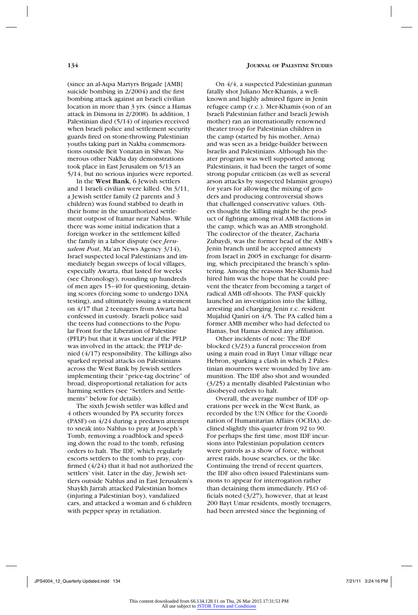(since an al-Aqsa Martyrs Brigade [AMB] suicide bombing in 2/2004) and the first bombing attack against an Israeli civilian location in more than 3 yrs. (since a Hamas attack in Dimona in 2/2008). In addition, 1 Palestinian died (5/14) of injuries received when Israeli police and settlement security guards fired on stone-throwing Palestinian youths taking part in Nakba commemorations outside Beit Yonatan in Silwan. Numerous other Nakba day demonstrations took place in East Jerusalem on 5/13 an 5/14, but no serious injuries were reported.

In the **West Bank**, 6 Jewish settlers and 1 Israeli civilian were killed. On 3/11, a Jewish settler family (2 parents and 3 children) was found stabbed to death in their home in the unauthorized settlement outpost of Itamar near Nablus. While there was some initial indication that a foreign worker in the settlement killed the family in a labor dispute (see *Jerusalem Post*, Ma'an News Agency 3/14), Israel suspected local Palestinians and immediately began sweeps of local villages, especially Awarta, that lasted for weeks (see Chronology), rounding up hundreds of men ages 15–40 for questioning, detaining scores (forcing some to undergo DNA testing), and ultimately issuing a statement on 4/17 that 2 teenagers from Awarta had confessed in custody. Israeli police said the teens had connections to the Popular Front for the Liberation of Palestine (PFLP) but that it was unclear if the PFLP was involved in the attack; the PFLP denied (4/17) responsibility. The killings also sparked reprisal attacks on Palestinians across the West Bank by Jewish settlers implementing their "price-tag doctrine" of broad, disproportional retaliation for acts harming settlers (see "Settlers and Settlements" below for details).

The sixth Jewish settler was killed and 4 others wounded by PA security forces (PASF) on 4/24 during a predawn attempt to sneak into Nablus to pray at Joseph's Tomb, removing a roadblock and speeding down the road to the tomb, refusing orders to halt. The IDF, which regularly escorts settlers to the tomb to pray, confirmed (4/24) that it had not authorized the settlers' visit. Later in the day, Jewish settlers outside Nablus and in East Jerusalem's Shaykh Jarrah attacked Palestinian homes (injuring a Palestinian boy), vandalized cars, and attacked a woman and 6 children with pepper spray in retaliation.

On 4/4, a suspected Palestinian gunman fatally shot Juliano Mer-Khamis, a wellknown and highly admired figure in Jenin refugee camp (r.c.). Mer-Khamis (son of an Israeli Palestinian father and Israeli Jewish mother) ran an internationally renowned theater troop for Palestinian children in the camp (started by his mother, Arna) and was seen as a bridge-builder between Israelis and Palestinians. Although his theater program was well supported among Palestinians, it had been the target of some strong popular criticism (as well as several arson attacks by suspected Islamist groups) for years for allowing the mixing of genders and producing controversial shows that challenged conservative values. Others thought the killing might be the product of fighting among rival AMB factions in the camp, which was an AMB stronghold. The codirector of the theater, Zacharia Zubaydi, was the former head of the AMB's Jenin branch until he accepted amnesty from Israel in 2005 in exchange for disarming, which precipitated the branch's splintering. Among the reasons Mer-Khamis had hired him was the hope that he could prevent the theater from becoming a target of radical AMB off-shoots. The PASF quickly launched an investigation into the killing, arresting and charging Jenin r.c. resident Mujahid Qaniri on 4/5. The PA called him a former AMB member who had defected to Hamas, but Hamas denied any affiliation.

Other incidents of note: The IDF blocked (3/23) a funeral procession from using a main road in Bayt Umar village near Hebron, sparking a clash in which 2 Palestinian mourners were wounded by live ammunition. The IDF also shot and wounded (3/25) a mentally disabled Palestinian who disobeyed orders to halt.

Overall, the average number of IDF operations per week in the West Bank, as recorded by the UN Office for the Coordination of Humanitarian Affairs (OCHA), declined slightly this quarter from 92 to 90. For perhaps the first time, most IDF incursions into Palestinian population centers were patrols as a show of force, without arrest raids, house searches, or the like. Continuing the trend of recent quarters, the IDF also often issued Palestinians summons to appear for interrogation rather than detaining them immediately. PLO officials noted (3/27), however, that at least 200 Bayt Umar residents, mostly teenagers, had been arrested since the beginning of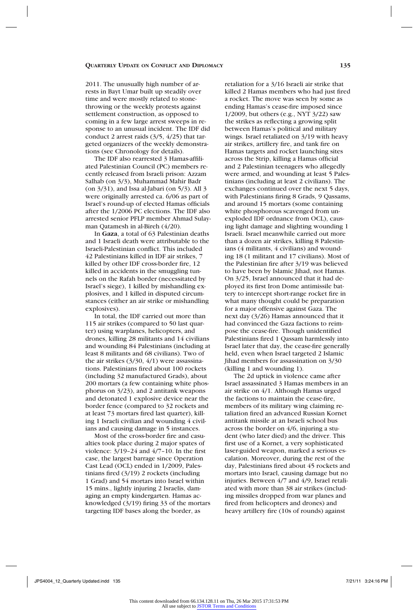2011. The unusually high number of arrests in Bayt Umar built up steadily over time and were mostly related to stonethrowing or the weekly protests against settlement construction, as opposed to coming in a few large arrest sweeps in response to an unusual incident. The IDF did conduct 2 arrest raids (3/5, 4/25) that targeted organizers of the weekly demonstrations (see Chronology for details).

The IDF also rearrested 3 Hamas-affiliated Palestinian Council (PC) members recently released from Israeli prison: Azzam Salhab (on 3/3), Muhammad Mahir Badr (on 3/31), and Issa al-Jabari (on 5/3). All 3 were originally arrested ca. 6/06 as part of Israel's round-up of elected Hamas officials after the 1/2006 PC elections. The IDF also arrested senior PFLP member Ahmad Sulayman Qatamesh in al-Bireh (4/20).

In **Gaza**, a total of 63 Palestinian deaths and 1 Israeli death were attributable to the Israeli-Palestinian conflict. This included 42 Palestinians killed in IDF air strikes, 7 killed by other IDF cross-border fire, 12 killed in accidents in the smuggling tunnels on the Rafah border (necessitated by Israel's siege), 1 killed by mishandling explosives, and 1 killed in disputed circumstances (either an air strike or mishandling explosives).

In total, the IDF carried out more than 115 air strikes (compared to 50 last quarter) using warplanes, helicopters, and drones, killing 28 militants and 14 civilians and wounding 84 Palestinians (including at least 8 militants and 68 civilians). Two of the air strikes  $(3/30, 4/1)$  were assassinations. Palestinians fired about 100 rockets (including 32 manufactured Grads), about 200 mortars (a few containing white phosphorus on 3/23), and 2 antitank weapons and detonated 1 explosive device near the border fence (compared to 32 rockets and at least 73 mortars fired last quarter), killing 1 Israeli civilian and wounding 4 civilians and causing damage in 5 instances.

Most of the cross-border fire and casualties took place during 2 major spates of violence:  $3/19-24$  and  $4/7-10$ . In the first case, the largest barrage since Operation Cast Lead (OCL) ended in 1/2009, Palestinians fired (3/19) 2 rockets (including 1 Grad) and 54 mortars into Israel within 15 mins., lightly injuring 2 Israelis, damaging an empty kindergarten. Hamas acknowledged (3/19) firing 33 of the mortars targeting IDF bases along the border, as

retaliation for a 3/16 Israeli air strike that killed 2 Hamas members who had just fired a rocket. The move was seen by some as ending Hamas's cease-fire imposed since 1/2009, but others (e.g., NYT 3/22) saw the strikes as reflecting a growing split between Hamas's political and military wings. Israel retaliated on 3/19 with heavy air strikes, artillery fire, and tank fire on Hamas targets and rocket launching sites across the Strip, killing a Hamas official and 2 Palestinian teenagers who allegedly were armed, and wounding at least 5 Palestinians (including at least 2 civilians). The exchanges continued over the next 5 days, with Palestinians firing 8 Grads, 9 Qassams, and around 15 mortars (some containing white phosphorous scavenged from unexploded IDF ordnance from OCL), causing light damage and slighting wounding 1 Israeli. Israel meanwhile carried out more than a dozen air strikes, killing 8 Palestinians (4 militants, 4 civilians) and wounding 18 (1 militant and 17 civilians). Most of the Palestinian fire after 3/19 was believed to have been by Islamic Jihad, not Hamas. On 3/25, Israel announced that it had deployed its first Iron Dome antimissile battery to intercept short-range rocket fire in what many thought could be preparation for a major offensive against Gaza. The next day (3/26) Hamas announced that it had convinced the Gaza factions to reimpose the cease-fire. Though unidentified Palestinians fired 1 Qassam harmlessly into Israel later that day, the cease-fire generally held, even when Israel targeted 2 Islamic Jihad members for assassination on 3/30 (killing 1 and wounding 1).

The 2d uptick in violence came after Israel assassinated 3 Hamas members in an air strike on 4/1. Although Hamas urged the factions to maintain the cease-fire, members of its military wing claiming retaliation fired an advanced Russian Kornet antitank missile at an Israeli school bus across the border on 4/6, injuring a student (who later died) and the driver. This first use of a Kornet, a very sophisticated laser-guided weapon, marked a serious escalation. Moreover, during the rest of the day, Palestinians fired about 45 rockets and mortars into Israel, causing damage but no injuries. Between 4/7 and 4/9, Israel retaliated with more than 38 air strikes (including missiles dropped from war planes and fired from helicopters and drones) and heavy artillery fire (10s of rounds) against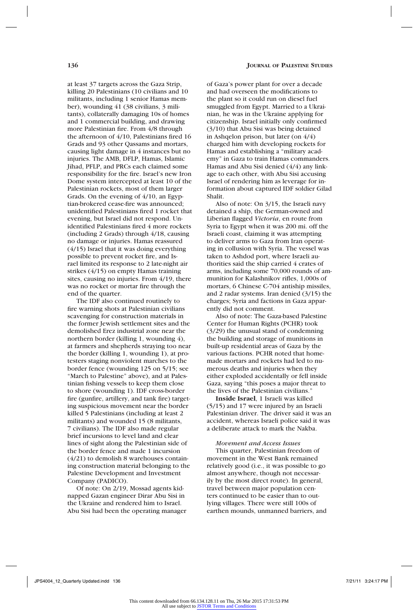at least 37 targets across the Gaza Strip, killing 20 Palestinians (10 civilians and 10 militants, including 1 senior Hamas member), wounding 41 (38 civilians, 3 militants), collaterally damaging 10s of homes and 1 commercial building, and drawing more Palestinian fire. From 4/8 through the afternoon of 4/10, Palestinians fired 16 Grads and 93 other Qassams and mortars, causing light damage in 4 instances but no injuries. The AMB, DFLP, Hamas, Islamic Jihad, PFLP, and PRCs each claimed some responsibility for the fire. Israel's new Iron Dome system intercepted at least 10 of the Palestinian rockets, most of them larger Grads. On the evening of 4/10, an Egyptian-brokered cease-fire was announced; unidentified Palestinians fired 1 rocket that evening, but Israel did not respond. Unidentified Palestinians fired 4 more rockets (including 2 Grads) through 4/18, causing no damage or injuries. Hamas reassured (4/15) Israel that it was doing everything possible to prevent rocket fire, and Israel limited its response to 2 late-night air strikes (4/15) on empty Hamas training sites, causing no injuries. From 4/19, there was no rocket or mortar fire through the end of the quarter.

The IDF also continued routinely to fire warning shots at Palestinian civilians scavenging for construction materials in the former Jewish settlement sites and the demolished Erez industrial zone near the northern border (killing 1, wounding 4), at farmers and shepherds straying too near the border (killing 1, wounding 1), at protesters staging nonviolent marches to the border fence (wounding 125 on 5/15; see "March to Palestine" above), and at Palestinian fishing vessels to keep them close to shore (wounding 1). IDF cross-border fire (gunfire, artillery, and tank fire) targeting suspicious movement near the border killed 5 Palestinians (including at least 2 militants) and wounded 15 (8 militants, 7 civilians). The IDF also made regular brief incursions to level land and clear lines of sight along the Palestinian side of the border fence and made 1 incursion (4/21) to demolish 8 warehouses containing construction material belonging to the Palestine Development and Investment Company (PADICO).

Of note: On 2/19, Mossad agents kidnapped Gazan engineer Dirar Abu Sisi in the Ukraine and rendered him to Israel. Abu Sisi had been the operating manager of Gaza's power plant for over a decade and had overseen the modifications to the plant so it could run on diesel fuel smuggled from Egypt. Married to a Ukrainian, he was in the Ukraine applying for citizenship. Israel initially only confirmed (3/10) that Abu Sisi was being detained in Ashqelon prison, but later (on 4/4) charged him with developing rockets for Hamas and establishing a "military academy" in Gaza to train Hamas commanders. Hamas and Abu Sisi denied (4/4) any linkage to each other, with Abu Sisi accusing Israel of rendering him as leverage for information about captured IDF soldier Gilad Shalit.

Also of note: On 3/15, the Israeli navy detained a ship, the German-owned and Liberian flagged *Victoria*, en route from Syria to Egypt when it was 200 mi. off the Israeli coast, claiming it was attempting to deliver arms to Gaza from Iran operating in collusion with Syria. The vessel was taken to Ashdod port, where Israeli authorities said the ship carried 4 crates of arms, including some 70,000 rounds of ammunition for Kalashnikov rifles, 1,000s of mortars, 6 Chinese C-704 antiship missiles, and 2 radar systems. Iran denied  $(3/15)$  the charges; Syria and factions in Gaza apparently did not comment.

Also of note: The Gaza-based Palestine Center for Human Rights (PCHR) took (3/29) the unusual stand of condemning the building and storage of munitions in built-up residential areas of Gaza by the various factions. PCHR noted that homemade mortars and rockets had led to numerous deaths and injuries when they either exploded accidentally or fell inside Gaza, saying "this poses a major threat to the lives of the Palestinian civilians."

**Inside Israel**, 1 Israeli was killed (5/15) and 17 were injured by an Israeli Palestinian driver. The driver said it was an accident, whereas Israeli police said it was a deliberate attack to mark the Nakba.

*Movement and Access Issues*

This quarter, Palestinian freedom of movement in the West Bank remained relatively good (i.e., it was possible to go almost anywhere, though not necessarily by the most direct route). In general, travel between major population centers continued to be easier than to outlying villages. There were still 100s of earthen mounds, unmanned barriers, and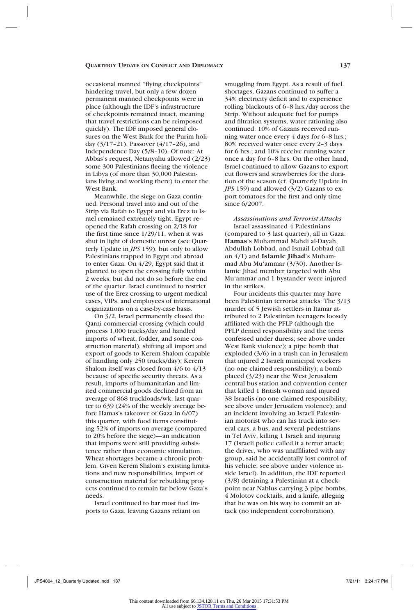occasional manned "flying checkpoints" hindering travel, but only a few dozen permanent manned checkpoints were in place (although the IDF's infrastructure of checkpoints remained intact, meaning that travel restrictions can be reimposed quickly). The IDF imposed general closures on the West Bank for the Purim holiday (3/17–21), Passover (4/17–26), and Independence Day (5/8–10). Of note: At Abbas's request, Netanyahu allowed (2/23) some 300 Palestinians fleeing the violence in Libya (of more than 30,000 Palestinians living and working there) to enter the West Bank.

Meanwhile, the siege on Gaza continued. Personal travel into and out of the Strip via Rafah to Egypt and via Erez to Israel remained extremely tight. Egypt reopened the Rafah crossing on 2/18 for the first time since  $1/29/11$ , when it was shut in light of domestic unrest (see Quarterly Update in *JPS* 159), but only to allow Palestinians trapped in Egypt and abroad to enter Gaza. On 4/29, Egypt said that it planned to open the crossing fully within 2 weeks, but did not do so before the end of the quarter. Israel continued to restrict use of the Erez crossing to urgent medical cases, VIPs, and employees of international organizations on a case-by-case basis.

On 3/2, Israel permanently closed the Qarni commercial crossing (which could process 1,000 trucks/day and handled imports of wheat, fodder, and some construction material), shifting all import and export of goods to Kerem Shalom (capable of handling only 250 trucks/day); Kerem Shalom itself was closed from 4/6 to 4/13 because of specific security threats. As a result, imports of humanitarian and limited commercial goods declined from an average of 868 truckloads/wk. last quarter to 639 (24% of the weekly average before Hamas's takeover of Gaza in 6/07) this quarter, with food items constituting 52% of imports on average (compared to 20% before the siege)—an indication that imports were still providing subsistence rather than economic stimulation. Wheat shortages became a chronic problem. Given Kerem Shalom's existing limitations and new responsibilities, import of construction material for rebuilding projects continued to remain far below Gaza's needs.

Israel continued to bar most fuel imports to Gaza, leaving Gazans reliant on

smuggling from Egypt. As a result of fuel shortages, Gazans continued to suffer a 34% electricity deficit and to experience rolling blackouts of 6–8 hrs./day across the Strip. Without adequate fuel for pumps and filtration systems, water rationing also continued: 10% of Gazans received running water once every 4 days for 6–8 hrs.; 80% received water once every 2–3 days for 6 hrs.; and 10% receive running water once a day for 6–8 hrs. On the other hand, Israel continued to allow Gazans to export cut flowers and strawberries for the duration of the season (cf. Quarterly Update in *JPS* 159) and allowed (3/2) Gazans to export tomatoes for the first and only time since 6/2007.

*Assassinations and Terrorist Attacks* Israel assassinated 4 Palestinians (compared to 3 last quarter), all in Gaza: **Hamas**'s Muhammad Mahdi al-Dayah, Abdullah Lobbad, and Ismail Lobbad (all on 4/1) and **Islamic Jihad**'s Muhammad Abu Mu'ammar (3/30). Another Islamic Jihad member targeted with Abu Mu'ammar and 1 bystander were injured in the strikes.

Four incidents this quarter may have been Palestinian terrorist attacks: The 3/13 murder of 5 Jewish settlers in Itamar attributed to 2 Palestinian teenagers loosely affiliated with the PFLP (although the PFLP denied responsibility and the teens confessed under duress; see above under West Bank violence); a pipe bomb that exploded (3/6) in a trash can in Jerusalem that injured 2 Israeli municipal workers (no one claimed responsibility); a bomb placed (3/23) near the West Jerusalem central bus station and convention center that killed 1 British woman and injured 38 Israelis (no one claimed responsibility; see above under Jerusalem violence); and an incident involving an Israeli Palestinian motorist who ran his truck into several cars, a bus, and several pedestrians in Tel Aviv, killing 1 Israeli and injuring 17 (Israeli police called it a terror attack; the driver, who was unaffiliated with any group, said he accidentally lost control of his vehicle; see above under violence inside Israel). In addition, the IDF reported (3/8) detaining a Palestinian at a checkpoint near Nablus carrying 3 pipe bombs, 4 Molotov cocktails, and a knife, alleging that he was on his way to commit an attack (no independent corroboration).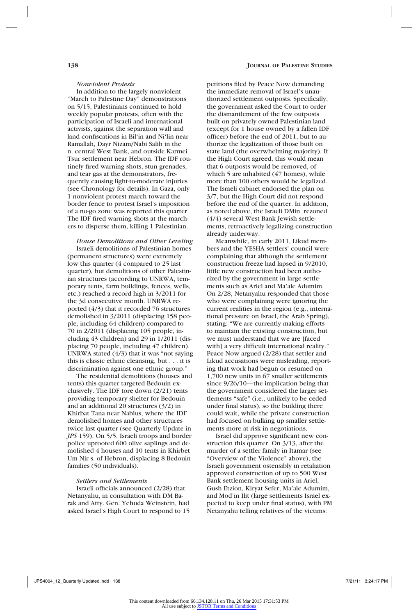# *Nonviolent Protests*

In addition to the largely nonviolent "March to Palestine Day" demonstrations on 5/15, Palestinians continued to hold weekly popular protests, often with the participation of Israeli and international activists, against the separation wall and land confiscations in Bil'in and Ni'lin near Ramallah, Dayr Nizam/Nabi Salih in the n. central West Bank, and outside Karmei Tsur settlement near Hebron. The IDF routinely fired warning shots, stun grenades, and tear gas at the demonstrators, frequently causing light-to-moderate injuries (see Chronology for details). In Gaza, only 1 nonviolent protest march toward the border fence to protest Israel's imposition of a no-go zone was reported this quarter. The IDF fired warning shots at the marchers to disperse them, killing 1 Palestinian.

*House Demolitions and Other Leveling* Israeli demolitions of Palestinian homes (permanent structures) were extremely low this quarter (4 compared to 25 last quarter), but demolitions of other Palestinian structures (according to UNRWA, temporary tents, farm buildings, fences, wells, etc.) reached a record high in 3/2011 for the 3d consecutive month. UNRWA reported (4/3) that it recorded 76 structures demolished in 3/2011 (displacing 158 people, including 64 children) compared to 70 in 2/2011 (displacing 105 people, including 43 children) and 29 in 1/2011 (displacing 70 people, including 47 children). UNRWA stated  $(4/3)$  that it was "not saying this is classic ethnic cleansing, but . . . it is discrimination against one ethnic group."

The residential demolitions (houses and tents) this quarter targeted Bedouin exclusively. The IDF tore down (2/21) tents providing temporary shelter for Bedouin and an additional 20 structures (3/2) in Khirbat Tana near Nablus, where the IDF demolished homes and other structures twice last quarter (see Quarterly Update in *JPS* 159). On 5/5, Israeli troops and border police uprooted 600 olive saplings and demolished 4 houses and 10 tents in Khirbet Um Nir s. of Hebron, displacing 8 Bedouin families (50 individuals).

### *Settlers and Settlements*

Israeli officials announced (2/28) that Netanyahu, in consultation with DM Barak and Atty. Gen. Yehuda Weinstein, had asked Israel's High Court to respond to 15 petitions filed by Peace Now demanding the immediate removal of Israel's unauthorized settlement outposts. Specifically, the government asked the Court to order the dismantlement of the few outposts built on privately owned Palestinian land (except for 1 house owned by a fallen IDF officer) before the end of 2011, but to authorize the legalization of those built on state land (the overwhelming majority). If the High Court agreed, this would mean that 6 outposts would be removed, of which 5 are inhabited (47 homes), while more than 100 others would be legalized. The Israeli cabinet endorsed the plan on 3/7, but the High Court did not respond before the end of the quarter. In addition, as noted above, the Israeli DMin. rezoned (4/4) several West Bank Jewish settlements, retroactively legalizing construction already underway.

Meanwhile, in early 2011, Likud members and the YESHA settlers' council were complaining that although the settlement construction freeze had lapsed in 9/2010, little new construction had been authorized by the government in large settlements such as Ariel and Ma'ale Adumim. On 2/28, Netanyahu responded that those who were complaining were ignoring the current realities in the region (e.g., international pressure on Israel, the Arab Spring), stating: "We are currently making efforts to maintain the existing construction, but we must understand that we are [faced with] a very difficult international reality." Peace Now argued (2/28) that settler and Likud accusations were misleading, reporting that work had begun or resumed on 1,700 new units in 67 smaller settlements since 9/26/10—the implication being that the government considered the larger settlements "safe" (i.e., unlikely to be ceded under final status), so the building there could wait, while the private construction had focused on bulking up smaller settlements more at risk in negotiations.

Israel did approve significant new construction this quarter. On 3/13, after the murder of a settler family in Itamar (see "Overview of the Violence" above), the Israeli government ostensibly in retaliation approved construction of up to 500 West Bank settlement housing units in Ariel, Gush Etzion, Kiryat Sefer, Ma'ale Adumim, and Mod'in Ilit (large settlements Israel expected to keep under final status), with PM Netanyahu telling relatives of the victims: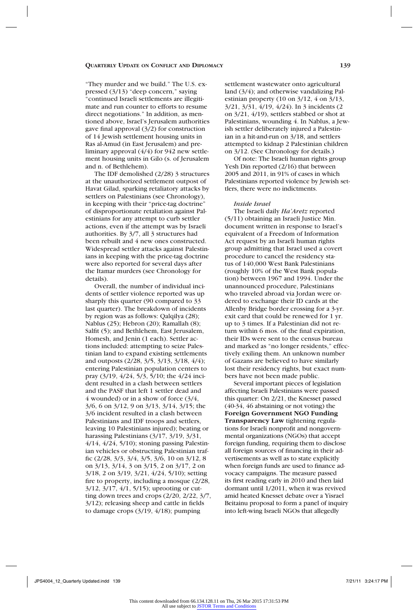"They murder and we build." The U.S. expressed (3/13) "deep concern," saying "continued Israeli settlements are illegitimate and run counter to efforts to resume direct negotiations." In addition, as mentioned above, Israel's Jerusalem authorities gave final approval (3/2) for construction of 14 Jewish settlement housing units in Ras al-Amud (in East Jerusalem) and preliminary approval (4/4) for 942 new settlement housing units in Gilo (s. of Jerusalem and n. of Bethlehem).

The IDF demolished (2/28) 3 structures at the unauthorized settlement outpost of Havat Gilad, sparking retaliatory attacks by settlers on Palestinians (see Chronology), in keeping with their "price-tag doctrine" of disproportionate retaliation against Palestinians for any attempt to curb settler actions, even if the attempt was by Israeli authorities. By 3/7, all 3 structures had been rebuilt and 4 new ones constructed. Widespread settler attacks against Palestinians in keeping with the price-tag doctrine were also reported for several days after the Itamar murders (see Chronology for details).

Overall, the number of individual incidents of settler violence reported was up sharply this quarter (90 compared to 33 last quarter). The breakdown of incidents by region was as follows: Qalqilya (28); Nablus (25); Hebron (20); Ramallah (8); Salfit (5); and Bethlehem, East Jerusalem, Homesh, and Jenin (1 each). Settler actions included: attempting to seize Palestinian land to expand existing settlements and outposts (2/28, 3/5, 3/13, 3/18, 4/4); entering Palestinian population centers to pray (3/19, 4/24, 5/3, 5/10; the 4/24 incident resulted in a clash between settlers and the PASF that left 1 settler dead and 4 wounded) or in a show of force (3/4, 3/6, 6 on 3/12, 9 on 3/13, 3/14, 3/15; the 3/6 incident resulted in a clash between Palestinians and IDF troops and settlers, leaving 10 Palestinians injured); beating or harassing Palestinians (3/17, 3/19, 3/31, 4/14, 4/24, 5/10); stoning passing Palestinian vehicles or obstructing Palestinian traffic (2/28, 3/3, 3/4, 3/5, 3/6, 10 on 3/12, 8 on 3/13, 3/14, 3 on 3/15, 2 on 3/17, 2 on 3/18, 2 on 3/19, 3/21, 4/24, 5/10); setting fire to property, including a mosque (2/28,  $3/12, 3/17, 4/1, 5/15$ ; uprooting or cutting down trees and crops (2/20, 2/22, 3/7, 3/12); releasing sheep and cattle in fields to damage crops (3/19, 4/18); pumping

settlement wastewater onto agricultural land (3/4); and otherwise vandalizing Palestinian property (10 on 3/12, 4 on 3/13, 3/21, 3/31, 4/19, 4/24). In 3 incidents (2 on 3/21, 4/19), settlers stabbed or shot at Palestinians, wounding 4. In Nablus, a Jewish settler deliberately injured a Palestinian in a hit-and-run on 3/18, and settlers attempted to kidnap 2 Palestinian children on 3/12. (See Chronology for details.)

Of note: The Israeli human rights group Yesh Din reported (2/16) that between 2005 and 2011, in 91% of cases in which Palestinians reported violence by Jewish settlers, there were no indictments.

#### *Inside Israel*

The Israeli daily *Ha'Aretz* reported (5/11) obtaining an Israeli Justice Min. document written in response to Israel's equivalent of a Freedom of Information Act request by an Israeli human rights group admitting that Israel used a covert procedure to cancel the residency status of 140,000 West Bank Palestinians (roughly 10% of the West Bank population) between 1967 and 1994. Under the unannounced procedure, Palestinians who traveled abroad via Jordan were ordered to exchange their ID cards at the Allenby Bridge border crossing for a 3-yr. exit card that could be renewed for 1 yr. up to 3 times. If a Palestinian did not return within 6 mos. of the final expiration, their IDs were sent to the census bureau and marked as "no longer residents," effectively exiling them. An unknown number of Gazans are believed to have similarly lost their residency rights, but exact numbers have not been made public.

Several important pieces of legislation affecting Israeli Palestinians were passed this quarter: On 2/21, the Knesset passed (40-34, 46 abstaining or not voting) the **Foreign Government NGO Funding Transparency Law** tightening regulations for Israeli nonprofit and nongovernmental organizations (NGOs) that accept foreign funding, requiring them to disclose all foreign sources of financing in their advertisements as well as to state explicitly when foreign funds are used to finance advocacy campaigns. The measure passed its first reading early in 2010 and then laid dormant until 1/2011, when it was revived amid heated Knesset debate over a Yisrael Beitainu proposal to form a panel of inquiry into left-wing Israeli NGOs that allegedly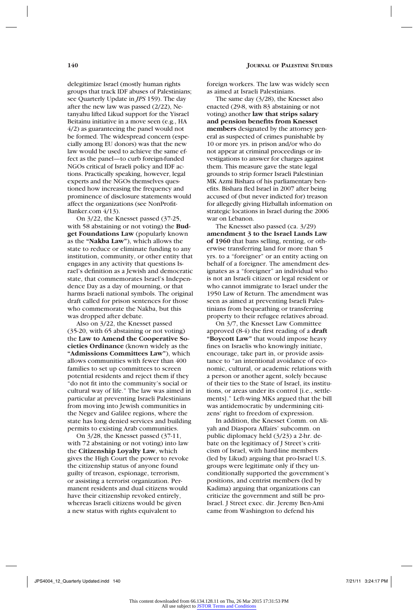delegitimize Israel (mostly human rights groups that track IDF abuses of Palestinians; see Quarterly Update in *JPS* 159). The day after the new law was passed (2/22), Netanyahu lifted Likud support for the Yisrael Beitainu initiative in a move seen (e.g., HA 4/2) as guaranteeing the panel would not be formed. The widespread concern (especially among EU donors) was that the new law would be used to achieve the same effect as the panel—to curb foreign-funded NGOs critical of Israeli policy and IDF actions. Practically speaking, however, legal experts and the NGOs themselves questioned how increasing the frequency and prominence of disclosure statements would affect the organizations (see NonProfit-Banker.com 4/13).

On 3/22, the Knesset passed (37-25, with 58 abstaining or not voting) the **Budget Foundations Law** (popularly known as the **"Nakba Law"**), which allows the state to reduce or eliminate funding to any institution, community, or other entity that engages in any activity that questions Israel's definition as a Jewish and democratic state, that commemorates Israel's Independence Day as a day of mourning, or that harms Israeli national symbols. The original draft called for prison sentences for those who commemorate the Nakba, but this was dropped after debate.

Also on 3/22, the Knesset passed (35-20, with 65 abstaining or not voting) the **Law to Amend the Cooperative Societies Ordinance** (known widely as the **"Admissions Committees Law"**), which allows communities with fewer than 400 families to set up committees to screen potential residents and reject them if they "do not fit into the community's social or cultural way of life." The law was aimed in particular at preventing Israeli Palestinians from moving into Jewish communities in the Negev and Galilee regions, where the state has long denied services and building permits to existing Arab communities.

On 3/28, the Knesset passed (37-11, with 72 abstaining or not voting) into law the **Citizenship Loyalty Law**, which gives the High Court the power to revoke the citizenship status of anyone found guilty of treason, espionage, terrorism, or assisting a terrorist organization. Permanent residents and dual citizens would have their citizenship revoked entirely, whereas Israeli citizens would be given a new status with rights equivalent to

foreign workers. The law was widely seen as aimed at Israeli Palestinians.

The same day (3/28), the Knesset also enacted (29-8, with 83 abstaining or not voting) another **law that strips salary and pension benefits from Knesset members** designated by the attorney general as suspected of crimes punishable by 10 or more yrs. in prison and/or who do not appear at criminal proceedings or investigations to answer for charges against them. This measure gave the state legal grounds to strip former Israeli Palestinian MK Azmi Bishara of his parliamentary benefits. Bishara fled Israel in 2007 after being accused of (but never indicted for) treason for allegedly giving Hizballah information on strategic locations in Israel during the 2006 war on Lebanon.

The Knesset also passed (ca. 3/29) **amendment 3 to the Israel Lands Law of 1960** that bans selling, renting, or otherwise transferring land for more than 5 yrs. to a "foreigner" or an entity acting on behalf of a foreigner. The amendment designates as a "foreigner" an individual who is not an Israeli citizen or legal resident or who cannot immigrate to Israel under the 1950 Law of Return. The amendment was seen as aimed at preventing Israeli Palestinians from bequeathing or transferring property to their refugee relatives abroad.

On 3/7, the Knesset Law Committee approved (8-4) the first reading of a **draft "Boycott Law"** that would impose heavy fines on Israelis who knowingly initiate, encourage, take part in, or provide assistance to "an intentional avoidance of economic, cultural, or academic relations with a person or another agent, solely because of their ties to the State of Israel, its institutions, or areas under its control [i.e., settlements]." Left-wing MKs argued that the bill was antidemocratic by undermining citizens' right to freedom of expression.

In addition, the Knesset Comm. on Aliyah and Diaspora Affairs' subcomm. on public diplomacy held (3/23) a 2-hr. debate on the legitimacy of J Street's criticism of Israel, with hard-line members (led by Likud) arguing that pro-Israel U.S. groups were legitimate only if they unconditionally supported the government's positions, and centrist members (led by Kadima) arguing that organizations can criticize the government and still be pro-Israel. J Street exec. dir. Jeremy Ben-Ami came from Washington to defend his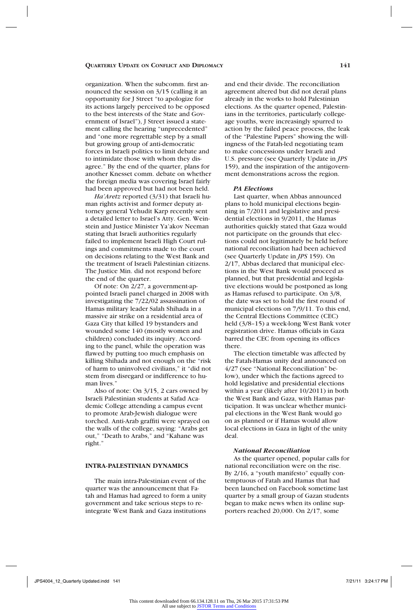organization. When the subcomm. first announced the session on 3/15 (calling it an opportunity for J Street "to apologize for its actions largely perceived to be opposed to the best interests of the State and Government of Israel"), J Street issued a statement calling the hearing "unprecedented" and "one more regrettable step by a small but growing group of anti-democratic forces in Israeli politics to limit debate and to intimidate those with whom they disagree." By the end of the quarter, plans for another Knesset comm. debate on whether the foreign media was covering Israel fairly had been approved but had not been held.

*Ha'Aretz* reported (3/31) that Israeli human rights activist and former deputy attorney general Yehudit Karp recently sent a detailed letter to Israel's Atty. Gen. Weinstein and Justice Minister Ya'akov Neeman stating that Israeli authorities regularly failed to implement Israeli High Court rulings and commitments made to the court on decisions relating to the West Bank and the treatment of Israeli Palestinian citizens. The Justice Min. did not respond before the end of the quarter.

Of note: On 2/27, a government-appointed Israeli panel charged in 2008 with investigating the 7/22/02 assassination of Hamas military leader Salah Shihada in a massive air strike on a residential area of Gaza City that killed 19 bystanders and wounded some 140 (mostly women and children) concluded its inquiry. According to the panel, while the operation was flawed by putting too much emphasis on killing Shihada and not enough on the "risk of harm to uninvolved civilians," it "did not stem from disregard or indifference to human lives<sup>?</sup>

Also of note: On 3/15, 2 cars owned by Israeli Palestinian students at Safad Academic College attending a campus event to promote Arab-Jewish dialogue were torched. Anti-Arab graffiti were sprayed on the walls of the college, saying: "Arabs get out," "Death to Arabs," and "Kahane was right."

#### **Intra-Palestinian Dynamics**

The main intra-Palestinian event of the quarter was the announcement that Fatah and Hamas had agreed to form a unity government and take serious steps to reintegrate West Bank and Gaza institutions and end their divide. The reconciliation agreement altered but did not derail plans already in the works to hold Palestinian elections. As the quarter opened, Palestinians in the territories, particularly collegeage youths, were increasingly spurred to action by the failed peace process, the leak of the "Palestine Papers" showing the willingness of the Fatah-led negotiating team to make concessions under Israeli and U.S. pressure (see Quarterly Update in *JPS* 159), and the inspiration of the antigovernment demonstrations across the region.

#### *PA Elections*

Last quarter, when Abbas announced plans to hold municipal elections beginning in 7/2011 and legislative and presidential elections in 9/2011, the Hamas authorities quickly stated that Gaza would not participate on the grounds that elections could not legitimately be held before national reconciliation had been achieved (see Quarterly Update in *JPS* 159). On 2/17, Abbas declared that municipal elections in the West Bank would proceed as planned, but that presidential and legislative elections would be postponed as long as Hamas refused to participate. On 3/8, the date was set to hold the first round of municipal elections on 7/9/11. To this end, the Central Elections Committee (CEC) held (3/8–15) a week-long West Bank voter registration drive. Hamas officials in Gaza barred the CEC from opening its offices there.

The election timetable was affected by the Fatah-Hamas unity deal announced on 4/27 (see "National Reconciliation" below), under which the factions agreed to hold legislative and presidential elections within a year (likely after 10/2011) in both the West Bank and Gaza, with Hamas participation. It was unclear whether municipal elections in the West Bank would go on as planned or if Hamas would allow local elections in Gaza in light of the unity deal.

#### *National Reconciliation*

As the quarter opened, popular calls for national reconciliation were on the rise. By 2/16, a "youth manifesto" equally contemptuous of Fatah and Hamas that had been launched on Facebook sometime last quarter by a small group of Gazan students began to make news when its online supporters reached 20,000. On 2/17, some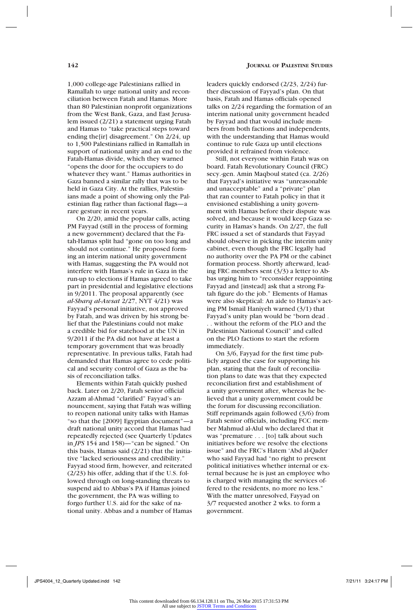1,000 college-age Palestinians rallied in Ramallah to urge national unity and reconciliation between Fatah and Hamas. More than 80 Palestinian nonprofit organizations from the West Bank, Gaza, and East Jerusalem issued (2/21) a statement urging Fatah and Hamas to "take practical steps toward ending the[ir] disagreement." On 2/24, up to 1,500 Palestinians rallied in Ramallah in support of national unity and an end to the Fatah-Hamas divide, which they warned "opens the door for the occupiers to do whatever they want." Hamas authorities in Gaza banned a similar rally that was to be held in Gaza City. At the rallies, Palestinians made a point of showing only the Palestinian flag rather than factional flags—a

rare gesture in recent years. On 2/20, amid the popular calls, acting PM Fayyad (still in the process of forming a new government) declared that the Fatah-Hamas split had "gone on too long and should not continue." He proposed forming an interim national unity government with Hamas, suggesting the PA would not interfere with Hamas's rule in Gaza in the run-up to elections if Hamas agreed to take part in presidential and legislative elections in 9/2011. The proposal apparently (see *al-Sharq al-Awsat* 2/27, NYT 4/21) was Fayyad's personal initiative, not approved by Fatah, and was driven by his strong belief that the Palestinians could not make a credible bid for statehood at the UN in 9/2011 if the PA did not have at least a temporary government that was broadly representative. In previous talks, Fatah had demanded that Hamas agree to cede political and security control of Gaza as the basis of reconciliation talks.

Elements within Fatah quickly pushed back. Later on 2/20, Fatah senior official Azzam al-Ahmad "clarified" Fayyad's announcement, saying that Fatah was willing to reopen national unity talks with Hamas "so that the [2009] Egyptian document"—a draft national unity accord that Hamas had repeatedly rejected (see Quarterly Updates in *JPS* 154 and 158)—"can be signed." On this basis, Hamas said (2/21) that the initiative "lacked seriousness and credibility." Fayyad stood firm, however, and reiterated (2/23) his offer, adding that if the U.S. followed through on long-standing threats to suspend aid to Abbas's PA if Hamas joined the government, the PA was willing to forgo further U.S. aid for the sake of national unity. Abbas and a number of Hamas

leaders quickly endorsed (2/23, 2/24) further discussion of Fayyad's plan. On that basis, Fatah and Hamas officials opened talks on 2/24 regarding the formation of an interim national unity government headed by Fayyad and that would include members from both factions and independents, with the understanding that Hamas would continue to rule Gaza up until elections provided it refrained from violence.

Still, not everyone within Fatah was on board. Fatah Revolutionary Council (FRC) secy.-gen. Amin Maqboul stated (ca. 2/26) that Fayyad's initiative was "unreasonable and unacceptable" and a "private" plan that ran counter to Fatah policy in that it envisioned establishing a unity government with Hamas before their dispute was solved, and because it would keep Gaza security in Hamas's hands. On 2/27, the full FRC issued a set of standards that Fayyad should observe in picking the interim unity cabinet, even though the FRC legally had no authority over the PA PM or the cabinet formation process. Shortly afterward, leading FRC members sent (3/3) a letter to Abbas urging him to "reconsider reappointing Fayyad and [instead] ask that a strong Fatah figure do the job." Elements of Hamas were also skeptical: An aide to Hamas's acting PM Ismail Haniyeh warned (3/1) that Fayyad's unity plan would be "born dead . . . without the reform of the PLO and the Palestinian National Council" and called on the PLO factions to start the reform immediately.

On 3/6, Fayyad for the first time publicly argued the case for supporting his plan, stating that the fault of reconciliation plans to date was that they expected reconciliation first and establishment of a unity government after, whereas he believed that a unity government could be the forum for discussing reconciliation. Stiff reprimands again followed (3/6) from Fatah senior officials, including FCC member Mahmud al-Alul who declared that it was "premature . . . [to] talk about such initiatives before we resolve the elections issue" and the FRC's Hatem 'Abd al-Qader who said Fayyad had "no right to present political initiatives whether internal or external because he is just an employee who is charged with managing the services offered to the residents, no more no less." With the matter unresolved, Fayyad on 3/7 requested another 2 wks. to form a government.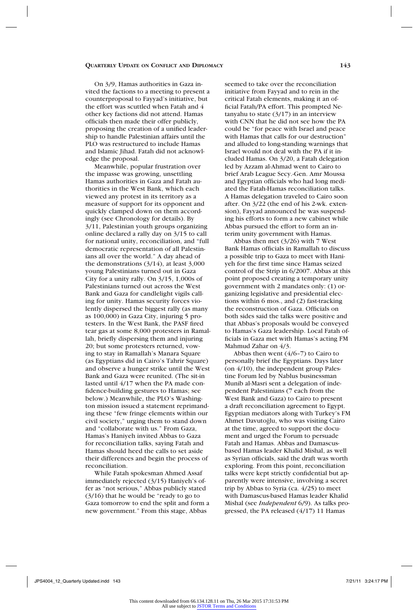On 3/9, Hamas authorities in Gaza invited the factions to a meeting to present a counterproposal to Fayyad's initiative, but the effort was scuttled when Fatah and 4 other key factions did not attend. Hamas officials then made their offer publicly, proposing the creation of a unified leadership to handle Palestinian affairs until the PLO was restructured to include Hamas and Islamic Jihad. Fatah did not acknowledge the proposal.

Meanwhile, popular frustration over the impasse was growing, unsettling Hamas authorities in Gaza and Fatah authorities in the West Bank, which each viewed any protest in its territory as a measure of support for its opponent and quickly clamped down on them accordingly (see Chronology for details). By 3/11, Palestinian youth groups organizing online declared a rally day on 3/15 to call for national unity, reconciliation, and "full democratic representation of all Palestinians all over the world." A day ahead of the demonstrations  $(3/14)$ , at least  $3,000$ young Palestinians turned out in Gaza City for a unity rally. On 3/15, 1,000s of Palestinians turned out across the West Bank and Gaza for candlelight vigils calling for unity. Hamas security forces violently dispersed the biggest rally (as many as 100,000) in Gaza City, injuring 5 protesters. In the West Bank, the PASF fired tear gas at some 8,000 protesters in Ramallah, briefly dispersing them and injuring 20; but some protesters returned, vowing to stay in Ramallah's Manara Square (as Egyptians did in Cairo's Tahrir Square) and observe a hunger strike until the West Bank and Gaza were reunited. (The sit-in lasted until 4/17 when the PA made confidence-building gestures to Hamas; see below.) Meanwhile, the PLO's Washington mission issued a statement reprimanding these "few fringe elements within our civil society," urging them to stand down and "collaborate with us." From Gaza, Hamas's Haniyeh invited Abbas to Gaza for reconciliation talks, saying Fatah and Hamas should heed the calls to set aside their differences and begin the process of reconciliation.

While Fatah spokesman Ahmed Assaf immediately rejected (3/15) Haniyeh's offer as "not serious," Abbas publicly stated (3/16) that he would be "ready to go to Gaza tomorrow to end the split and form a new government." From this stage, Abbas

seemed to take over the reconciliation initiative from Fayyad and to rein in the critical Fatah elements, making it an official Fatah/PA effort. This prompted Netanyahu to state (3/17) in an interview with CNN that he did not see how the PA could be "for peace with Israel and peace with Hamas that calls for our destruction" and alluded to long-standing warnings that Israel would not deal with the PA if it included Hamas. On 3/20, a Fatah delegation led by Azzam al-Ahmad went to Cairo to brief Arab League Secy.-Gen. Amr Moussa and Egyptian officials who had long mediated the Fatah-Hamas reconciliation talks. A Hamas delegation traveled to Cairo soon after. On 3/22 (the end of his 2-wk. extension), Fayyad announced he was suspending his efforts to form a new cabinet while Abbas pursued the effort to form an interim unity government with Hamas.

Abbas then met (3/26) with 7 West Bank Hamas officials in Ramallah to discuss a possible trip to Gaza to meet with Haniyeh for the first time since Hamas seized control of the Strip in 6/2007. Abbas at this point proposed creating a temporary unity government with 2 mandates only: (1) organizing legislative and presidential elections within 6 mos., and (2) fast-tracking the reconstruction of Gaza. Officials on both sides said the talks were positive and that Abbas's proposals would be conveyed to Hamas's Gaza leadership. Local Fatah officials in Gaza met with Hamas's acting FM Mahmud Zahar on 4/3.

Abbas then went (4/6–7) to Cairo to personally brief the Egyptians. Days later (on 4/10), the independent group Palestine Forum led by Nablus businessman Munib al-Masri sent a delegation of independent Palestinians (7 each from the West Bank and Gaza) to Cairo to present a draft reconciliation agreement to Egypt. Egyptian mediators along with Turkey's FM Ahmet Davutoğlu, who was visiting Cairo at the time, agreed to support the document and urged the Forum to persuade Fatah and Hamas. Abbas and Damascusbased Hamas leader Khalid Mishal, as well as Syrian officials, said the draft was worth exploring. From this point, reconciliation talks were kept strictly confidential but apparently were intensive, involving a secret trip by Abbas to Syria (ca. 4/25) to meet with Damascus-based Hamas leader Khalid Mishal (see *Independent* 6/9). As talks progressed, the PA released (4/17) 11 Hamas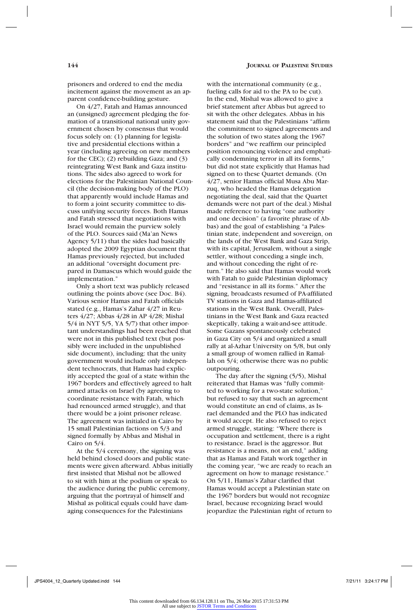prisoners and ordered to end the media incitement against the movement as an apparent confidence-building gesture.

On 4/27, Fatah and Hamas announced an (unsigned) agreement pledging the formation of a transitional national unity government chosen by consensus that would focus solely on: (1) planning for legislative and presidential elections within a year (including agreeing on new members for the CEC); (2) rebuilding Gaza; and (3) reintegrating West Bank and Gaza institutions. The sides also agreed to work for elections for the Palestinian National Council (the decision-making body of the PLO) that apparently would include Hamas and to form a joint security committee to discuss unifying security forces. Both Hamas and Fatah stressed that negotiations with Israel would remain the purview solely of the PLO. Sources said (Ma'an News Agency 5/11) that the sides had basically adopted the 2009 Egyptian document that Hamas previously rejected, but included an additional "oversight document prepared in Damascus which would guide the implementation."

Only a short text was publicly released outlining the points above (see Doc. B4). Various senior Hamas and Fatah officials stated (e.g., Hamas's Zahar 4/27 in Reuters 4/27; Abbas 4/28 in AP 4/28; Mishal 5/4 in NYT 5/5, YA 5/7) that other important understandings had been reached that were not in this published text (but possibly were included in the unpublished side document), including: that the unity government would include only independent technocrats, that Hamas had explicitly accepted the goal of a state within the 1967 borders and effectively agreed to halt armed attacks on Israel (by agreeing to coordinate resistance with Fatah, which had renounced armed struggle), and that there would be a joint prisoner release. The agreement was initialed in Cairo by 15 small Palestinian factions on 5/3 and signed formally by Abbas and Mishal in Cairo on 5/4.

At the 5/4 ceremony, the signing was held behind closed doors and public statements were given afterward. Abbas initially first insisted that Mishal not be allowed to sit with him at the podium or speak to the audience during the public ceremony, arguing that the portrayal of himself and Mishal as political equals could have damaging consequences for the Palestinians

with the international community (e.g., fueling calls for aid to the PA to be cut). In the end, Mishal was allowed to give a brief statement after Abbas but agreed to sit with the other delegates. Abbas in his statement said that the Palestinians "affirm the commitment to signed agreements and the solution of two states along the 1967 borders" and "we reaffirm our principled position renouncing violence and emphatically condemning terror in all its forms," but did not state explicitly that Hamas had signed on to these Quartet demands. (On 4/27, senior Hamas official Musa Abu Marzuq, who headed the Hamas delegation negotiating the deal, said that the Quartet demands were not part of the deal.) Mishal made reference to having "one authority and one decision" (a favorite phrase of Abbas) and the goal of establishing "a Palestinian state, independent and sovereign, on the lands of the West Bank and Gaza Strip, with its capital, Jerusalem, without a single settler, without conceding a single inch, and without conceding the right of return." He also said that Hamas would work with Fatah to guide Palestinian diplomacy and "resistance in all its forms." After the signing, broadcasts resumed of PA-affiliated TV stations in Gaza and Hamas-affiliated stations in the West Bank. Overall, Palestinians in the West Bank and Gaza reacted skeptically, taking a wait-and-see attitude. Some Gazans spontaneously celebrated in Gaza City on 5/4 and organized a small rally at al-Azhar University on 5/8, but only a small group of women rallied in Ramallah on 5/4; otherwise there was no public outpouring.

The day after the signing (5/5), Mishal reiterated that Hamas was "fully committed to working for a two-state solution," but refused to say that such an agreement would constitute an end of claims, as Israel demanded and the PLO has indicated it would accept. He also refused to reject armed struggle, stating: "Where there is occupation and settlement, there is a right to resistance. Israel is the aggressor. But resistance is a means, not an end," adding that as Hamas and Fatah work together in the coming year, "we are ready to reach an agreement on how to manage resistance." On 5/11, Hamas's Zahar clarified that Hamas would accept a Palestinian state on the 1967 borders but would not recognize Israel, because recognizing Israel would jeopardize the Palestinian right of return to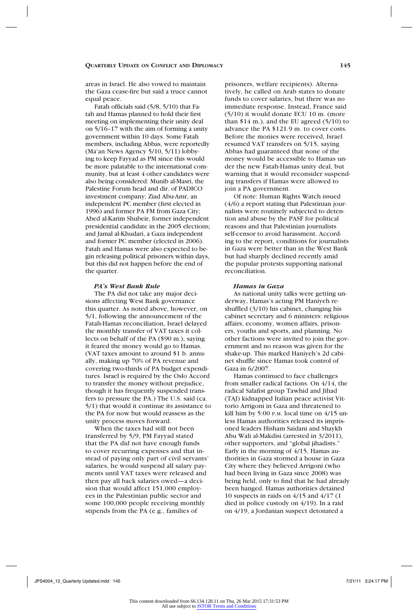areas in Israel. He also vowed to maintain the Gaza cease-fire but said a truce cannot equal peace.

Fatah officials said (5/8, 5/10) that Fatah and Hamas planned to hold their first meeting on implementing their unity deal on 5/16–17 with the aim of forming a unity government within 10 days. Some Fatah members, including Abbas, were reportedly (Ma'an News Agency 5/10, 5/11) lobbying to keep Fayyad as PM since this would be more palatable to the international community, but at least 4 other candidates were also being considered: Munib al-Masri, the Palestine Forum head and dir. of PADICO investment company; Ziad Abu-Amr, an independent PC member (first elected in 1996) and former PA FM from Gaza City; Abed al-Karim Shubeir, former independent presidential candidate in the 2005 elections; and Jamal al-Khudari, a Gaza independent and former PC member (elected in 2006). Fatah and Hamas were also expected to begin releasing political prisoners within days, but this did not happen before the end of the quarter.

# *PA's West Bank Rule*

The PA did not take any major decisions affecting West Bank governance this quarter. As noted above, however, on 5/1, following the announcement of the Fatah-Hamas reconciliation, Israel delayed the monthly transfer of VAT taxes it collects on behalf of the PA (\$90 m.), saying it feared the money would go to Hamas. (VAT taxes amount to around \$1 b. annually, making up 70% of PA revenue and covering two-thirds of PA budget expenditures. Israel is required by the Oslo Accord to transfer the money without prejudice, though it has frequently suspended transfers to pressure the PA.) The U.S. said (ca. 5/1) that would it continue its assistance to the PA for now but would reassess as the unity process moves forward.

When the taxes had still not been transferred by 5/9, PM Fayyad stated that the PA did not have enough funds to cover recurring expenses and that instead of paying only part of civil servants' salaries, he would suspend all salary payments until VAT taxes were released and then pay all back salaries owed—a decision that would affect 151,000 employees in the Palestinian public sector and some 100,000 people receiving monthly stipends from the PA (e.g., families of

prisoners, welfare recipients). Alternatively, he called on Arab states to donate funds to cover salaries, but there was no immediate response. Instead, France said (5/10) it would donate ECU 10 m. (more than  $$14 \text{ m}$ .), and the EU agreed ( $5/10$ ) to advance the PA \$121.9 m. to cover costs. Before the monies were received, Israel resumed VAT transfers on 5/15, saying Abbas had guaranteed that none of the money would be accessible to Hamas under the new Fatah-Hamas unity deal, but warning that it would reconsider suspending transfers if Hamas were allowed to join a PA government.

Of note: Human Rights Watch issued (4/6) a report stating that Palestinian journalists were routinely subjected to detention and abuse by the PASF for political reasons and that Palestinian journalists self-censor to avoid harassment. According to the report, conditions for journalists in Gaza were better than in the West Bank but had sharply declined recently amid the popular protests supporting national reconciliation.

# *Hamas in Gaza*

As national unity talks were getting underway, Hamas's acting PM Haniyeh reshuffled (3/10) his cabinet, changing his cabinet secretary and 6 ministers: religious affairs, economy, women affairs, prisoners, youths and sports, and planning. No other factions were invited to join the government and no reason was given for the shake-up. This marked Haniyeh's 2d cabinet shuffle since Hamas took control of Gaza in 6/2007.

Hamas continued to face challenges from smaller radical factions. On 4/14, the radical Salafist group Tawhid and Jihad (TAJ) kidnapped Italian peace activist Vittorio Arrigoni in Gaza and threatened to kill him by 5:00 p.m. local time on  $4/15$  unless Hamas authorities released its imprisoned leaders Hisham Saidani and Shaykh Abu Wali al-Makdisi (arrested in 3/2011), other supporters, and "global jihadists." Early in the morning of 4/15, Hamas authorities in Gaza stormed a house in Gaza City where they believed Arrigoni (who had been living in Gaza since 2008) was being held, only to find that he had already been hanged. Hamas authorities detained 10 suspects in raids on 4/15 and 4/17 (1 died in police custody on 4/19). In a raid on 4/19, a Jordanian suspect detonated a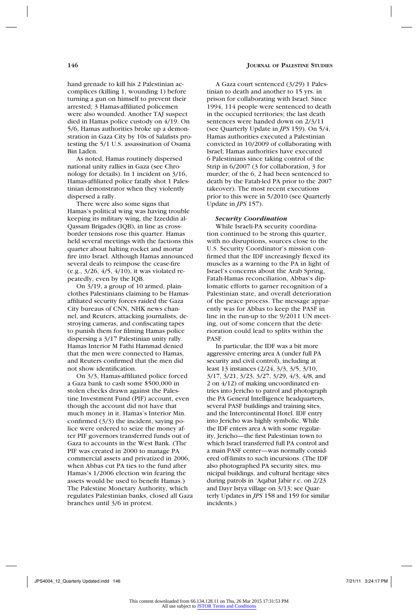hand grenade to kill his 2 Palestinian accomplices (killing 1, wounding 1) before turning a gun on himself to prevent their arrested; 3 Hamas-affiliated policemen were also wounded. Another TAJ suspect died in Hamas police custody on 4/19. On 5/6, Hamas authorities broke up a demonstration in Gaza City by 10s of Salafists protesting the 5/1 U.S. assassination of Osama Bin Laden.

As noted, Hamas routinely dispersed national unity rallies in Gaza (see Chronology for details). In 1 incident on 3/16, Hamas-affiliated police fatally shot 1 Palestinian demonstrator when they violently dispersed a rally.

There were also some signs that Hamas's political wing was having trouble keeping its military wing, the Izzeddin al-Qassam Brigades (IQB), in line as crossborder tensions rose this quarter. Hamas held several meetings with the factions this quarter about halting rocket and mortar fire into Israel. Although Hamas announced several deals to reimpose the cease-fire (e.g., 3/26, 4/5, 4/10), it was violated repeatedly, even by the IQB.

On 3/19, a group of 10 armed, plainclothes Palestinians claiming to be Hamasaffiliated security forces raided the Gaza City bureaus of CNN, NHK news channel, and Reuters, attacking journalists, destroying cameras, and confiscating tapes to punish them for filming Hamas police dispersing a 3/17 Palestinian unity rally. Hamas Interior M Fathi Hammad denied that the men were connected to Hamas, and Reuters confirmed that the men did not show identification.

On 3/3, Hamas-affiliated police forced a Gaza bank to cash some \$500,000 in stolen checks drawn against the Palestine Investment Fund (PIF) account, even though the account did not have that much money in it. Hamas's Interior Min. confirmed (3/3) the incident, saying police were ordered to seize the money after PIF governors transferred funds out of Gaza to accounts in the West Bank. (The PIF was created in 2000 to manage PA commercial assets and privatized in 2006, when Abbas cut PA ties to the fund after Hamas's 1/2006 election win fearing the assets would be used to benefit Hamas.) The Palestine Monetary Authority, which regulates Palestinian banks, closed all Gaza branches until 3/6 in protest.

A Gaza court sentenced (3/29) 1 Palestinian to death and another to 15 yrs. in prison for collaborating with Israel. Since 1994, 114 people were sentenced to death in the occupied territories; the last death sentences were handed down on 2/3/11 (see Quarterly Update in *JPS* 159). On 5/4, Hamas authorities executed a Palestinian convicted in 10/2009 of collaborating with Israel; Hamas authorities have executed 6 Palestinians since taking control of the Strip in 6/2007 (3 for collaboration, 3 for murder; of the 6, 2 had been sentenced to death by the Fatah-led PA prior to the 2007 takeover). The most recent executions prior to this were in 5/2010 (see Quarterly Update in *JPS* 157).

#### *Security Coordination*

While Israeli-PA security coordination continued to be strong this quarter, with no disruptions, sources close to the U.S. Security Coordinator's mission confirmed that the IDF increasingly flexed its muscles as a warning to the PA in light of Israel's concerns about the Arab Spring, Fatah-Hamas reconciliation, Abbas's diplomatic efforts to garner recognition of a Palestinian state, and overall deterioration of the peace process. The message apparently was for Abbas to keep the PASF in line in the run-up to the 9/2011 UN meeting, out of some concern that the deterioration could lead to splits within the PASF.

In particular, the IDF was a bit more aggressive entering area A (under full PA security and civil control), including at least 13 instances (2/24, 3/3, 3/5, 3/10, 3/17, 3/21, 3/23, 3/27, 3/29, 4/3, 4/8, and 2 on 4/12) of making uncoordinated entries into Jericho to patrol and photograph the PA General Intelligence headquarters, several PASF buildings and training sites, and the Intercontinental Hotel. IDF entry into Jericho was highly symbolic. While the IDF enters area A with some regularity, Jericho—the first Palestinian town to which Israel transferred full PA control and a main PASF center—was normally considered off-limits to such incursions. (The IDF also photographed PA security sites, municipal buildings, and cultural heritage sites during patrols in 'Aqabat Jabir r.c. on 2/23 and Dayr Istya village on 3/13; see Quarterly Updates in *JPS* 158 and 159 for similar incidents.)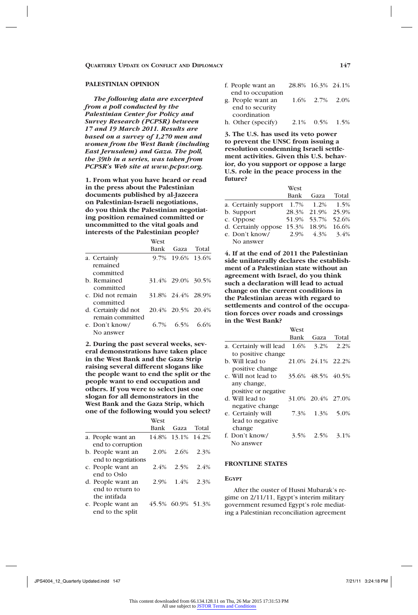# **Palestinian Opinion**

*The following data are excerpted from a poll conducted by the Palestinian Center for Policy and Survey Research (PCPSR) between 17 and 19 March 2011. Results are based on a survey of 1,270 men and women from the West Bank (including East Jerusalem) and Gaza. The poll, the 39th in a series, was taken from PCPSR's Web site at www.pcpsr.org.*

**1. From what you have heard or read in the press about the Palestinian documents published by al-Jazeera on Palestinian-Israeli negotiations, do you think the Palestinian negotiating position remained committed or uncommitted to the vital goals and interests of the Palestinian people?**

|                      | West |                   |  |
|----------------------|------|-------------------|--|
|                      |      | Bank Gaza Total   |  |
| a. Certainly         |      | 9.7% 19.6% 13.6%  |  |
| remained             |      |                   |  |
| committed            |      |                   |  |
| b. Remained          |      | 31.4% 29.0% 30.5% |  |
| committed            |      |                   |  |
| c. Did not remain    |      | 31.8% 24.4% 28.9% |  |
| committed            |      |                   |  |
| d. Certainly did not |      | 20.4% 20.5% 20.4% |  |
| remain committed     |      |                   |  |
| e. Don't know/       |      | 6.7% 6.5% 6.6%    |  |
| No answer            |      |                   |  |

**2. During the past several weeks, several demonstrations have taken place in the West Bank and the Gaza Strip raising several different slogans like the people want to end the split or the people want to end occupation and others. If you were to select just one slogan for all demonstrators in the West Bank and the Gaza Strip, which one of the following would you select?**

|                     | West |                   |  |
|---------------------|------|-------------------|--|
|                     |      | Bank Gaza Total   |  |
| a. People want an   |      | 14.8% 13.1% 14.2% |  |
| end to corruption   |      |                   |  |
| b. People want an   |      | 2.0% 2.6% 2.3%    |  |
| end to negotiations |      |                   |  |
| c. People want an   |      | 2.4% 2.5% 2.4%    |  |
| end to Oslo         |      |                   |  |
| d. People want an   |      | 2.9% 1.4% 2.3%    |  |
| end to return to    |      |                   |  |
| the intifada        |      |                   |  |
| e. People want an   |      | 45.5% 60.9% 51.3% |  |
|                     |      |                   |  |

end to the split

- f. People want an end to occupation 28.8% 16.3% 24.1%
- g. People want an end to security coordination 1.6% 2.7% 2.0%

h. Other (specify) 2.1% 0.5% 1.5%

**3. The U.S. has used its veto power to prevent the UNSC from issuing a resolution condemning Israeli settlement activities. Given this U.S. behavior, do you support or oppose a large U.S. role in the peace process in the future?**

|                                       | West |                   |       |
|---------------------------------------|------|-------------------|-------|
|                                       | Bank | Gaza              | Total |
| a. Certainly support                  |      | $1.7\%$ 1.2%      | 1.5%  |
| b. Support                            |      | 28.3% 21.9% 25.9% |       |
| c. Oppose                             |      | 51.9% 53.7%       | 52.6% |
| d. Certainly oppose 15.3% 18.9% 16.6% |      |                   |       |
| e. Don't know/                        |      | 2.9% 4.3% 3.4%    |       |
| No answer                             |      |                   |       |

**4. If at the end of 2011 the Palestinian side unilaterally declares the establishment of a Palestinian state without an agreement with Israel, do you think such a declaration will lead to actual change on the current conditions in the Palestinian areas with regard to settlements and control of the occupation forces over roads and crossings in the West Bank?**

|  |                        | West |                   |       |
|--|------------------------|------|-------------------|-------|
|  |                        | Bank | Gaza              | Total |
|  | a. Certainly will lead | 1.6% | 3.2%              | 2.2%  |
|  | to positive change     |      |                   |       |
|  | b. Will lead to        |      | 21.0% 24.1% 22.2% |       |
|  | positive change        |      |                   |       |
|  | c. Will not lead to    |      | 35.6% 48.5% 40.5% |       |
|  | any change,            |      |                   |       |
|  | positive or negative   |      |                   |       |
|  | d. Will lead to        |      | 31.0% 20.4% 27.0% |       |
|  | negative change        |      |                   |       |
|  | e. Certainly will      |      | 7.3% 1.3%         | 5.0%  |
|  | lead to negative       |      |                   |       |
|  | change                 |      |                   |       |
|  | f. Don't know/         | 3.5% | 2.5%              | 3.1%  |
|  | No answer              |      |                   |       |
|  |                        |      |                   |       |

# **FRONTLINE STATES**

# **Egypt**

After the ouster of Husni Mubarak's regime on 2/11/11, Egypt's interim military government resumed Egypt's role mediating a Palestinian reconciliation agreement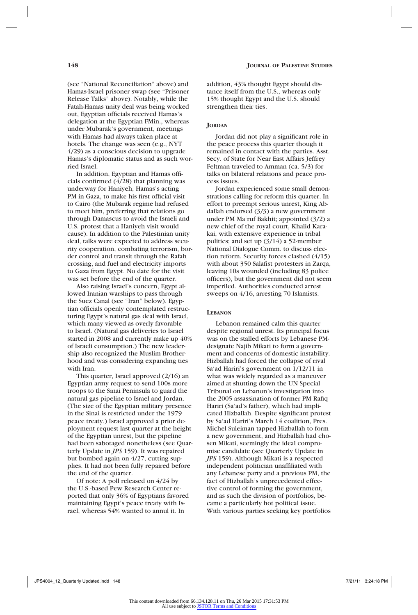(see "National Reconciliation" above) and Hamas-Israel prisoner swap (see "Prisoner Release Talks" above). Notably, while the Fatah-Hamas unity deal was being worked out, Egyptian officials received Hamas's delegation at the Egyptian FMin., whereas under Mubarak's government, meetings with Hamas had always taken place at hotels. The change was seen (e.g., NYT 4/29) as a conscious decision to upgrade Hamas's diplomatic status and as such worried Israel.

In addition, Egyptian and Hamas officials confirmed (4/28) that planning was underway for Haniyeh, Hamas's acting PM in Gaza, to make his first official visit to Cairo (the Mubarak regime had refused to meet him, preferring that relations go through Damascus to avoid the Israeli and U.S. protest that a Haniyeh visit would cause). In addition to the Palestinian unity deal, talks were expected to address security cooperation, combating terrorism, border control and transit through the Rafah crossing, and fuel and electricity imports to Gaza from Egypt. No date for the visit was set before the end of the quarter.

Also raising Israel's concern, Egypt allowed Iranian warships to pass through the Suez Canal (see "Iran" below). Egyptian officials openly contemplated restructuring Egypt's natural gas deal with Israel, which many viewed as overly favorable to Israel. (Natural gas deliveries to Israel started in 2008 and currently make up 40% of Israeli consumption.) The new leadership also recognized the Muslim Brotherhood and was considering expanding ties with Iran.

This quarter, Israel approved (2/16) an Egyptian army request to send 100s more troops to the Sinai Peninsula to guard the natural gas pipeline to Israel and Jordan. (The size of the Egyptian military presence in the Sinai is restricted under the 1979 peace treaty.) Israel approved a prior deployment request last quarter at the height of the Egyptian unrest, but the pipeline had been sabotaged nonetheless (see Quarterly Update in *JPS* 159). It was repaired but bombed again on 4/27, cutting supplies. It had not been fully repaired before the end of the quarter.

Of note: A poll released on 4/24 by the U.S.-based Pew Research Center reported that only 36% of Egyptians favored maintaining Egypt's peace treaty with Israel, whereas 54% wanted to annul it. In

addition, 43% thought Egypt should distance itself from the U.S., whereas only 15% thought Egypt and the U.S. should strengthen their ties.

# **JORDAN**

Jordan did not play a significant role in the peace process this quarter though it remained in contact with the parties. Asst. Secy. of State for Near East Affairs Jeffrey Feltman traveled to Amman (ca. 5/3) for talks on bilateral relations and peace process issues.

Jordan experienced some small demonstrations calling for reform this quarter. In effort to preempt serious unrest, King Abdallah endorsed (3/3) a new government under PM Ma'ruf Bakhit; appointed (3/2) a new chief of the royal court, Khalid Karakai, with extensive experience in tribal politics; and set up (3/14) a 52-member National Dialogue Comm. to discuss election reform. Security forces clashed (4/15) with about 350 Salafist protesters in Zarqa, leaving 10s wounded (including 83 police officers), but the government did not seem imperiled. Authorities conducted arrest sweeps on 4/16, arresting 70 Islamists.

#### **Lebanon**

Lebanon remained calm this quarter despite regional unrest. Its principal focus was on the stalled efforts by Lebanese PMdesignate Najib Mikati to form a government and concerns of domestic instability. Hizballah had forced the collapse of rival Sa'ad Hariri's government on 1/12/11 in what was widely regarded as a maneuver aimed at shutting down the UN Special Tribunal on Lebanon's investigation into the 2005 assassination of former PM Rafiq Hariri (Sa'ad's father), which had implicated Hizballah. Despite significant protest by Sa'ad Hariri's March 14 coalition, Pres. Michel Suleiman tapped Hizballah to form a new government, and Hizballah had chosen Mikati, seemingly the ideal compromise candidate (see Quarterly Update in *JPS* 159). Although Mikati is a respected independent politician unaffiliated with any Lebanese party and a previous PM, the fact of Hizballah's unprecedented effective control of forming the government, and as such the division of portfolios, became a particularly hot political issue. With various parties seeking key portfolios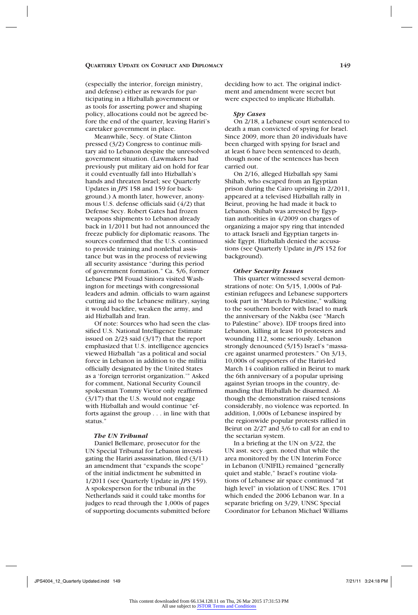(especially the interior, foreign ministry, and defense) either as rewards for participating in a Hizballah government or as tools for asserting power and shaping policy, allocations could not be agreed before the end of the quarter, leaving Hariri's caretaker government in place.

Meanwhile, Secy. of State Clinton pressed (3/2) Congress to continue military aid to Lebanon despite the unresolved government situation. (Lawmakers had previously put military aid on hold for fear it could eventually fall into Hizballah's hands and threaten Israel; see Quarterly Updates in *JPS* 158 and 159 for background.) A month later, however, anonymous U.S. defense officials said (4/2) that Defense Secy. Robert Gates had frozen weapons shipments to Lebanon already back in 1/2011 but had not announced the freeze publicly for diplomatic reasons. The sources confirmed that the U.S. continued to provide training and nonlethal assistance but was in the process of reviewing all security assistance "during this period of government formation." Ca. 5/6, former Lebanese PM Fouad Siniora visited Washington for meetings with congressional leaders and admin. officials to warn against cutting aid to the Lebanese military, saying it would backfire, weaken the army, and aid Hizballah and Iran.

Of note: Sources who had seen the classified U.S. National Intelligence Estimate issued on 2/23 said (3/17) that the report emphasized that U.S. intelligence agencies viewed Hizballah "as a political and social force in Lebanon in addition to the militia officially designated by the United States as a 'foreign terrorist organization.'" Asked for comment, National Security Council spokesman Tommy Vietor only reaffirmed  $(3/17)$  that the U.S. would not engage with Hizballah and would continue "efforts against the group . . . in line with that status."

#### *The UN Tribunal*

Daniel Bellemare, prosecutor for the UN Special Tribunal for Lebanon investigating the Hariri assassination, filed (3/11) an amendment that "expands the scope" of the initial indictment he submitted in 1/2011 (see Quarterly Update in *JPS* 159). A spokesperson for the tribunal in the Netherlands said it could take months for judges to read through the 1,000s of pages of supporting documents submitted before deciding how to act. The original indictment and amendment were secret but were expected to implicate Hizballah.

# *Spy Cases*

On 2/18, a Lebanese court sentenced to death a man convicted of spying for Israel. Since 2009, more than 20 individuals have been charged with spying for Israel and at least 6 have been sentenced to death, though none of the sentences has been carried out.

On 2/16, alleged Hizballah spy Sami Shihab, who escaped from an Egyptian prison during the Cairo uprising in 2/2011, appeared at a televised Hizballah rally in Beirut, proving he had made it back to Lebanon. Shihab was arrested by Egyptian authorities in 4/2009 on charges of organizing a major spy ring that intended to attack Israeli and Egyptian targets inside Egypt. Hizballah denied the accusations (see Quarterly Update in *JPS* 152 for background).

#### *Other Security Issues*

This quarter witnessed several demonstrations of note: On 5/15, 1,000s of Palestinian refugees and Lebanese supporters took part in "March to Palestine," walking to the southern border with Israel to mark the anniversary of the Nakba (see "March to Palestine" above). IDF troops fired into Lebanon, killing at least 10 protesters and wounding 112, some seriously. Lebanon strongly denounced (5/15) Israel's "massacre against unarmed protesters." On 3/13, 10,000s of supporters of the Hariri-led March 14 coalition rallied in Beirut to mark the 6th anniversary of a popular uprising against Syrian troops in the country, demanding that Hizballah be disarmed. Although the demonstration raised tensions considerably, no violence was reported. In addition, 1,000s of Lebanese inspired by the regionwide popular protests rallied in Beirut on 2/27 and 3/6 to call for an end to the sectarian system.

In a briefing at the UN on 3/22, the UN asst. secy.-gen. noted that while the area monitored by the UN Interim Force in Lebanon (UNIFIL) remained "generally quiet and stable," Israel's routine violations of Lebanese air space continued "at high level" in violation of UNSC Res. 1701 which ended the 2006 Lebanon war. In a separate briefing on 3/29, UNSC Special Coordinator for Lebanon Michael Williams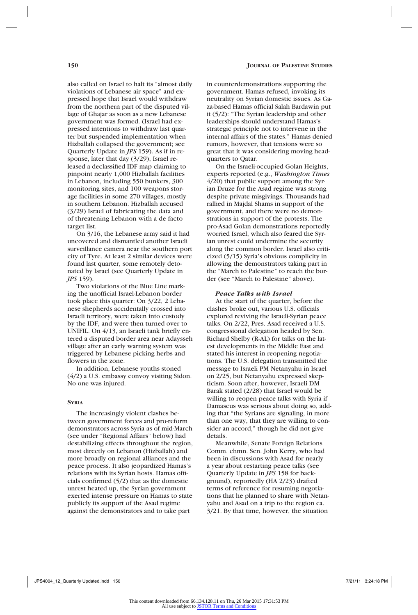also called on Israel to halt its "almost daily violations of Lebanese air space" and expressed hope that Israel would withdraw from the northern part of the disputed village of Ghajar as soon as a new Lebanese government was formed. (Israel had expressed intentions to withdraw last quarter but suspended implementation when Hizballah collapsed the government; see Quarterly Update in *JPS* 159). As if in response, later that day (3/29), Israel released a declassified IDF map claiming to pinpoint nearly 1,000 Hizballah facilities in Lebanon, including 550 bunkers, 300 monitoring sites, and 100 weapons storage facilities in some 270 villages, mostly in southern Lebanon. Hizballah accused (3/29) Israel of fabricating the data and of threatening Lebanon with a de facto target list.

On 3/16, the Lebanese army said it had uncovered and dismantled another Israeli surveillance camera near the southern port city of Tyre. At least 2 similar devices were found last quarter, some remotely detonated by Israel (see Quarterly Update in *JPS* 159).

Two violations of the Blue Line marking the unofficial Israel-Lebanon border took place this quarter: On 3/22, 2 Lebanese shepherds accidentally crossed into Israeli territory, were taken into custody by the IDF, and were then turned over to UNIFIL. On 4/13, an Israeli tank briefly entered a disputed border area near Adaysseh village after an early warning system was triggered by Lebanese picking herbs and flowers in the zone.

In addition, Lebanese youths stoned (4/2) a U.S. embassy convoy visiting Sidon. No one was injured.

#### **Syria**

The increasingly violent clashes between government forces and pro-reform demonstrators across Syria as of mid-March (see under "Regional Affairs" below) had destabilizing effects throughout the region, most directly on Lebanon (Hizballah) and more broadly on regional alliances and the peace process. It also jeopardized Hamas's relations with its Syrian hosts. Hamas officials confirmed (5/2) that as the domestic unrest heated up, the Syrian government exerted intense pressure on Hamas to state publicly its support of the Asad regime against the demonstrators and to take part

in counterdemonstrations supporting the government. Hamas refused, invoking its neutrality on Syrian domestic issues. As Gaza-based Hamas official Salah Bardawin put it (5/2): "The Syrian leadership and other leaderships should understand Hamas's strategic principle not to intervene in the internal affairs of the states." Hamas denied rumors, however, that tensions were so great that it was considering moving headquarters to Qatar.

On the Israeli-occupied Golan Heights, experts reported (e.g., *Washington Times* 4/20) that public support among the Syrian Druze for the Asad regime was strong despite private misgivings. Thousands had rallied in Majdal Shams in support of the government, and there were no demonstrations in support of the protests. The pro-Asad Golan demonstrations reportedly worried Israel, which also feared the Syrian unrest could undermine the security along the common border. Israel also criticized (5/15) Syria's obvious complicity in allowing the demonstrators taking part in the "March to Palestine" to reach the border (see "March to Palestine" above).

# *Peace Talks with Israel*

At the start of the quarter, before the clashes broke out, various U.S. officials explored reviving the Israeli-Syrian peace talks. On 2/22, Pres. Asad received a U.S. congressional delegation headed by Sen. Richard Shelby (R-AL) for talks on the latest developments in the Middle East and stated his interest in reopening negotiations. The U.S. delegation transmitted the message to Israeli PM Netanyahu in Israel on 2/25, but Netanyahu expressed skepticism. Soon after, however, Israeli DM Barak stated (2/28) that Israel would be willing to reopen peace talks with Syria if Damascus was serious about doing so, adding that "the Syrians are signaling, in more than one way, that they are willing to consider an accord," though he did not give details.

Meanwhile, Senate Foreign Relations Comm. chmn. Sen. John Kerry, who had been in discussions with Asad for nearly a year about restarting peace talks (see Quarterly Update in *JPS* 158 for background), reportedly (HA 2/23) drafted terms of reference for resuming negotiations that he planned to share with Netanyahu and Asad on a trip to the region ca. 3/21. By that time, however, the situation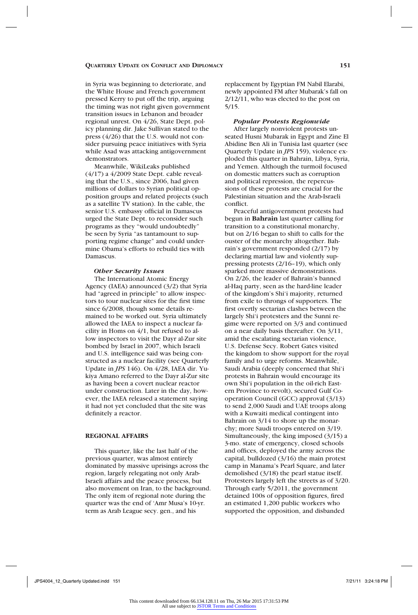in Syria was beginning to deteriorate, and the White House and French government pressed Kerry to put off the trip, arguing the timing was not right given government transition issues in Lebanon and broader regional unrest. On 4/26, State Dept. policy planning dir. Jake Sullivan stated to the press (4/26) that the U.S. would not consider pursuing peace initiatives with Syria while Asad was attacking antigovernment demonstrators.

Meanwhile, WikiLeaks published  $(4/17)$  a  $4/2009$  State Dept. cable revealing that the U.S., since 2006, had given millions of dollars to Syrian political opposition groups and related projects (such as a satellite TV station). In the cable, the senior U.S. embassy official in Damascus urged the State Dept. to reconsider such programs as they "would undoubtedly" be seen by Syria "as tantamount to supporting regime change" and could undermine Obama's efforts to rebuild ties with Damascus.

#### *Other Security Issues*

The International Atomic Energy Agency (IAEA) announced (3/2) that Syria had "agreed in principle" to allow inspectors to tour nuclear sites for the first time since 6/2008, though some details remained to be worked out. Syria ultimately allowed the IAEA to inspect a nuclear facility in Homs on 4/1, but refused to allow inspectors to visit the Dayr al-Zur site bombed by Israel in 2007, which Israeli and U.S. intelligence said was being constructed as a nuclear facility (see Quarterly Update in *JPS* 146). On 4/28, IAEA dir. Yukiya Amano referred to the Dayr al-Zur site as having been a covert nuclear reactor under construction. Later in the day, however, the IAEA released a statement saying it had not yet concluded that the site was definitely a reactor.

# **REGIONAL AFFAIRS**

This quarter, like the last half of the previous quarter, was almost entirely dominated by massive uprisings across the region, largely relegating not only Arab-Israeli affairs and the peace process, but also movement on Iran, to the background. The only item of regional note during the quarter was the end of 'Amr Musa's 10-yr. term as Arab League secy. gen., and his

replacement by Egyptian FM Nabil Elarabi, newly appointed FM after Mubarak's fall on 2/12/11, who was elected to the post on 5/15.

#### *Popular Protests Regionwide*

After largely nonviolent protests unseated Husni Mubarak in Egypt and Zine El Abidine Ben Ali in Tunisia last quarter (see Quarterly Update in *JPS* 159), violence exploded this quarter in Bahrain, Libya, Syria, and Yemen. Although the turmoil focused on domestic matters such as corruption and political repression, the repercussions of these protests are crucial for the Palestinian situation and the Arab-Israeli conflict.

Peaceful antigovernment protests had begun in **Bahrain** last quarter calling for transition to a constitutional monarchy, but on 2/16 began to shift to calls for the ouster of the monarchy altogether. Bahrain's government responded (2/17) by declaring martial law and violently suppressing protests (2/16–19), which only sparked more massive demonstrations. On 2/26, the leader of Bahrain's banned al-Haq party, seen as the hard-line leader of the kingdom's Shi'i majority, returned from exile to throngs of supporters. The first overtly sectarian clashes between the largely Shi'i protesters and the Sunni regime were reported on 3/3 and continued on a near daily basis thereafter. On 3/11, amid the escalating sectarian violence, U.S. Defense Secy. Robert Gates visited the kingdom to show support for the royal family and to urge reforms. Meanwhile, Saudi Arabia (deeply concerned that Shi'i protests in Bahrain would encourage its own Shi'i population in the oil-rich Eastern Province to revolt), secured Gulf Cooperation Council (GCC) approval (3/13) to send 2,000 Saudi and UAE troops along with a Kuwaiti medical contingent into Bahrain on 3/14 to shore up the monarchy; more Saudi troops entered on 3/19. Simultaneously, the king imposed (3/15) a 3-mo. state of emergency, closed schools and offices, deployed the army across the capital, bulldozed (3/16) the main protest camp in Manama's Pearl Square, and later demolished (3/18) the pearl statue itself. Protesters largely left the streets as of 3/20. Through early 5/2011, the government detained 100s of opposition figures, fired an estimated 1,200 public workers who supported the opposition, and disbanded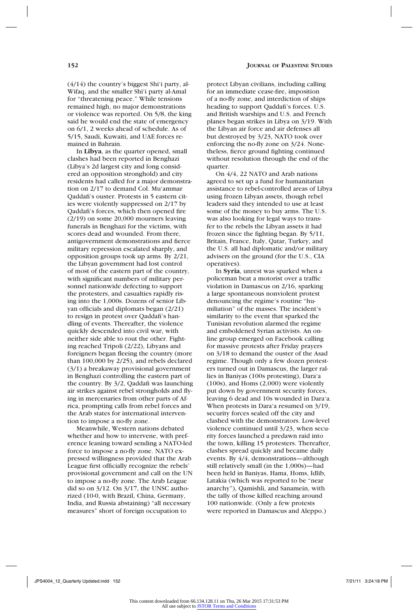(4/14) the country's biggest Shi'i party, al-Wifaq, and the smaller Shi'i party al-Amal for "threatening peace." While tensions remained high, no major demonstrations or violence was reported. On 5/8, the king said he would end the state of emergency on 6/1, 2 weeks ahead of schedule. As of 5/15, Saudi, Kuwaiti, and UAE forces remained in Bahrain.

In **Libya**, as the quarter opened, small clashes had been reported in Benghazi (Libya's 2d largest city and long considered an opposition stronghold) and city residents had called for a major demonstration on 2/17 to demand Col. Mu'ammar Qaddafi's ouster. Protests in 5 eastern cities were violently suppressed on 2/17 by Qaddafi's forces, which then opened fire (2/19) on some 20,000 mourners leaving funerals in Benghazi for the victims, with scores dead and wounded. From there, antigovernment demonstrations and fierce military repression escalated sharply, and opposition groups took up arms. By 2/21, the Libyan government had lost control of most of the eastern part of the country, with significant numbers of military personnel nationwide defecting to support the protesters, and casualties rapidly rising into the 1,000s. Dozens of senior Libyan officials and diplomats began (2/21) to resign in protest over Qaddafi's handling of events. Thereafter, the violence quickly descended into civil war, with neither side able to rout the other. Fighting reached Tripoli (2/22), Libyans and foreigners began fleeing the country (more than 100,000 by 2/25), and rebels declared (3/1) a breakaway provisional government in Benghazi controlling the eastern part of the country. By 3/2, Qaddafi was launching air strikes against rebel strongholds and flying in mercenaries from other parts of Africa, prompting calls from rebel forces and the Arab states for international intervention to impose a no-fly zone.

Meanwhile, Western nations debated whether and how to intervene, with preference leaning toward sending a NATO-led force to impose a no-fly zone. NATO expressed willingness provided that the Arab League first officially recognize the rebels' provisional government and call on the UN to impose a no-fly zone. The Arab League did so on 3/12. On 3/17, the UNSC authorized (10-0, with Brazil, China, Germany, India, and Russia abstaining) "all necessary measures" short of foreign occupation to

protect Libyan civilians, including calling for an immediate cease-fire, imposition of a no-fly zone, and interdiction of ships heading to support Qaddafi's forces. U.S. and British warships and U.S. and French planes began strikes in Libya on 3/19. With the Libyan air force and air defenses all but destroyed by 3/23, NATO took over enforcing the no-fly zone on 3/24. Nonetheless, fierce ground fighting continued without resolution through the end of the quarter.

On 4/4, 22 NATO and Arab nations agreed to set up a fund for humanitarian assistance to rebel-controlled areas of Libya using frozen Libyan assets, though rebel leaders said they intended to use at least some of the money to buy arms. The U.S. was also looking for legal ways to transfer to the rebels the Libyan assets it had frozen since the fighting began. By 5/11, Britain, France, Italy, Qatar, Turkey, and the U.S. all had diplomatic and/or military advisers on the ground (for the U.S., CIA operatives).

In **Syria**, unrest was sparked when a policeman beat a motorist over a traffic violation in Damascus on 2/16, sparking a large spontaneous nonviolent protest denouncing the regime's routine "humiliation" of the masses. The incident's similarity to the event that sparked the Tunisian revolution alarmed the regime and emboldened Syrian activists. An online group emerged on Facebook calling for massive protests after Friday prayers on 3/18 to demand the ouster of the Asad regime. Though only a few dozen protesters turned out in Damascus, the larger rallies in Baniyas (100s protesting), Dara'a (100s), and Homs (2,000) were violently put down by government security forces, leaving 6 dead and 10s wounded in Dara'a. When protests in Dara'a resumed on 3/19, security forces sealed off the city and clashed with the demonstrators. Low-level violence continued until 3/23, when security forces launched a predawn raid into the town, killing 15 protesters. Thereafter, clashes spread quickly and became daily events. By 4/4, demonstrations—although still relatively small (in the 1,000s)—had been held in Baniyas, Hama, Homs, Idlib, Latakia (which was reported to be "near anarchy"), Qamishli, and Sanamein, with the tally of those killed reaching around 100 nationwide. (Only a few protests were reported in Damascus and Aleppo.)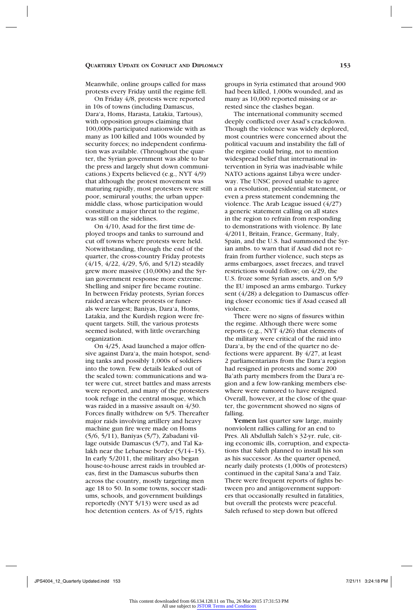Meanwhile, online groups called for mass protests every Friday until the regime fell.

On Friday 4/8, protests were reported in 10s of towns (including Damascus, Dara'a, Homs, Harasta, Latakia, Tartous), with opposition groups claiming that 100,000s participated nationwide with as many as 100 killed and 100s wounded by security forces; no independent confirmation was available. (Throughout the quarter, the Syrian government was able to bar the press and largely shut down communications.) Experts believed (e.g., NYT 4/9) that although the protest movement was maturing rapidly, most protesters were still poor, semirural youths; the urban uppermiddle class, whose participation would constitute a major threat to the regime, was still on the sidelines.

On 4/10, Asad for the first time deployed troops and tanks to surround and cut off towns where protests were held. Notwithstanding, through the end of the quarter, the cross-country Friday protests (4/15, 4/22, 4/29, 5/6, and 5/12) steadily grew more massive (10,000s) and the Syrian government response more extreme. Shelling and sniper fire became routine. In between Friday protests, Syrian forces raided areas where protests or funerals were largest; Baniyas, Dara'a, Homs, Latakia, and the Kurdish region were frequent targets. Still, the various protests seemed isolated, with little overarching organization.

On 4/25, Asad launched a major offensive against Dara'a, the main hotspot, sending tanks and possibly 1,000s of soldiers into the town. Few details leaked out of the sealed town: communications and water were cut, street battles and mass arrests were reported, and many of the protesters took refuge in the central mosque, which was raided in a massive assault on 4/30. Forces finally withdrew on 5/5. Thereafter major raids involving artillery and heavy machine gun fire were made on Homs (5/6, 5/11), Baniyas (5/7), Zabadani village outside Damascus (5/7), and Tal Kalakh near the Lebanese border (5/14–15). In early 5/2011, the military also began house-to-house arrest raids in troubled areas, first in the Damascus suburbs then across the country, mostly targeting men age 18 to 50. In some towns, soccer stadiums, schools, and government buildings reportedly (NYT 5/13) were used as ad hoc detention centers. As of 5/15, rights

groups in Syria estimated that around 900 had been killed, 1,000s wounded, and as many as 10,000 reported missing or arrested since the clashes began.

The international community seemed deeply conflicted over Asad's crackdown. Though the violence was widely deplored, most countries were concerned about the political vacuum and instability the fall of the regime could bring, not to mention widespread belief that international intervention in Syria was inadvisable while NATO actions against Libya were underway. The UNSC proved unable to agree on a resolution, presidential statement, or even a press statement condemning the violence. The Arab League issued (4/27) a generic statement calling on all states in the region to refrain from responding to demonstrations with violence. By late 4/2011, Britain, France, Germany, Italy, Spain, and the U.S. had summoned the Syrian ambs. to warn that if Asad did not refrain from further violence, such steps as arms embargoes, asset freezes, and travel restrictions would follow; on 4/29, the U.S. froze some Syrian assets, and on 5/9 the EU imposed an arms embargo. Turkey sent (4/28) a delegation to Damascus offering closer economic ties if Asad ceased all violence.

There were no signs of fissures within the regime. Although there were some reports (e.g., NYT 4/26) that elements of the military were critical of the raid into Dara'a, by the end of the quarter no defections were apparent. By 4/27, at least 2 parliamentarians from the Dara'a region had resigned in protests and some 200 Ba'ath party members from the Dara'a region and a few low-ranking members elsewhere were rumored to have resigned. Overall, however, at the close of the quarter, the government showed no signs of falling.

**Yemen** last quarter saw large, mainly nonviolent rallies calling for an end to Pres. Ali Abdullah Saleh's 32-yr. rule, citing economic ills, corruption, and expectations that Saleh planned to install his son as his successor. As the quarter opened, nearly daily protests (1,000s of protesters) continued in the capital Sana'a and Taiz. There were frequent reports of fights between pro and antigovernment supporters that occasionally resulted in fatalities, but overall the protests were peaceful. Saleh refused to step down but offered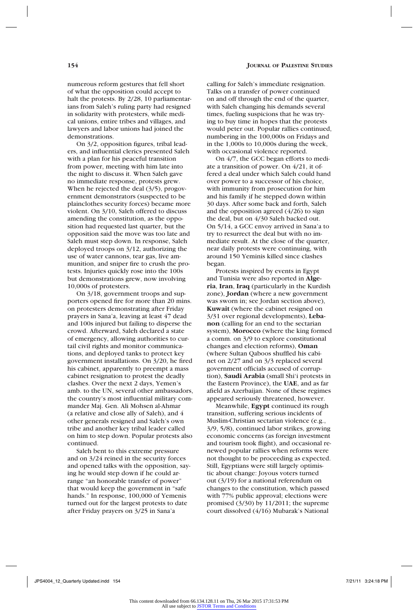numerous reform gestures that fell short of what the opposition could accept to halt the protests. By 2/28, 10 parliamentarians from Saleh's ruling party had resigned in solidarity with protesters, while medical unions, entire tribes and villages, and lawyers and labor unions had joined the demonstrations.

On 3/2, opposition figures, tribal leaders, and influential clerics presented Saleh with a plan for his peaceful transition from power, meeting with him late into the night to discuss it. When Saleh gave no immediate response, protests grew. When he rejected the deal (3/5), progovernment demonstrators (suspected to be plainclothes security forces) became more violent. On 3/10, Saleh offered to discuss amending the constitution, as the opposition had requested last quarter, but the opposition said the move was too late and Saleh must step down. In response, Saleh deployed troops on 3/12, authorizing the use of water cannons, tear gas, live ammunition, and sniper fire to crush the protests. Injuries quickly rose into the 100s but demonstrations grew, now involving 10,000s of protesters.

On 3/18, government troops and supporters opened fire for more than 20 mins. on protesters demonstrating after Friday prayers in Sana'a, leaving at least 47 dead and 100s injured but failing to disperse the crowd. Afterward, Saleh declared a state of emergency, allowing authorities to curtail civil rights and monitor communications, and deployed tanks to protect key government installations. On 3/20, he fired his cabinet, apparently to preempt a mass cabinet resignation to protest the deadly clashes. Over the next 2 days, Yemen's amb. to the UN, several other ambassadors, the country's most influential military commander Maj. Gen. Ali Mohsen al-Ahmar (a relative and close ally of Saleh), and 4 other generals resigned and Saleh's own tribe and another key tribal leader called on him to step down. Popular protests also continued.

Saleh bent to this extreme pressure and on 3/24 reined in the security forces and opened talks with the opposition, saying he would step down if he could arrange "an honorable transfer of power" that would keep the government in "safe hands." In response, 100,000 of Yemenis turned out for the largest protests to date after Friday prayers on 3/25 in Sana'a

calling for Saleh's immediate resignation. Talks on a transfer of power continued on and off through the end of the quarter, with Saleh changing his demands several times, fueling suspicions that he was trying to buy time in hopes that the protests would peter out. Popular rallies continued, numbering in the 100,000s on Fridays and in the 1,000s to 10,000s during the week, with occasional violence reported.

On 4/7, the GCC began efforts to mediate a transition of power. On 4/21, it offered a deal under which Saleh could hand over power to a successor of his choice, with immunity from prosecution for him and his family if he stepped down within 30 days. After some back and forth, Saleh and the opposition agreed (4/26) to sign the deal, but on 4/30 Saleh backed out. On 5/14, a GCC envoy arrived in Sana'a to try to resurrect the deal but with no immediate result. At the close of the quarter, near daily protests were continuing, with around 150 Yeminis killed since clashes began.

Protests inspired by events in Egypt and Tunisia were also reported in **Algeria**, **Iran**, **Iraq** (particularly in the Kurdish zone), **Jordan** (where a new government was sworn in; see Jordan section above), **Kuwait** (where the cabinet resigned on 3/31 over regional developments), **Lebanon** (calling for an end to the sectarian system), **Morocco** (where the king formed a comm. on 3/9 to explore constitutional changes and election reforms), **Oman** (where Sultan Qaboos shuffled his cabinet on 2/27 and on 3/3 replaced several government officials accused of corruption), **Saudi Arabia** (small Shi'i protests in the Eastern Province), the **UAE**, and as far afield as Azerbaijan. None of these regimes appeared seriously threatened, however.

Meanwhile, **Egypt** continued its rough transition, suffering serious incidents of Muslim-Christian sectarian violence (e.g., 3/9, 5/8), continued labor strikes, growing economic concerns (as foreign investment and tourism took flight), and occasional renewed popular rallies when reforms were not thought to be proceeding as expected. Still, Egyptians were still largely optimistic about change: Joyous voters turned out (3/19) for a national referendum on changes to the constitution, which passed with 77% public approval; elections were promised (3/30) by 11/2011; the supreme court dissolved (4/16) Mubarak's National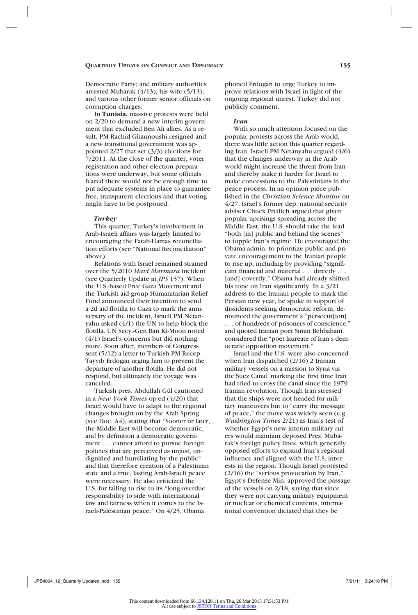Democratic Party; and military authorities arrested Mubarak (4/13), his wife (5/13), and various other former senior officials on corruption charges.

In **Tunisia**, massive protests were held on 2/20 to demand a new interim government that excluded Ben Ali allies. As a result, PM Rachid Ghannoushi resigned and a new transitional government was appointed 2/27 that set (3/3) elections for 7/2011. At the close of the quarter, voter registration and other election preparations were underway, but some officials feared there would not be enough time to put adequate systems in place to guarantee free, transparent elections and that voting might have to be postponed.

# *Turkey*

This quarter, Turkey's involvement in Arab-Israeli affairs was largely limited to encouraging the Fatah-Hamas reconciliation efforts (see "National Reconciliation" above).

Relations with Israel remained strained over the 5/2010 *Mavi Marmara* incident (see Quarterly Update in *JPS* 157). When the U.S.-based Free Gaza Movement and the Turkish aid group Humanitarian Relief Fund announced their intention to send a 2d aid flotilla to Gaza to mark the anniversary of the incident, Israeli PM Netanyahu asked (4/1) the UN to help block the flotilla. UN Secy.-Gen Ban Ki-Moon noted (4/1) Israel's concerns but did nothing more. Soon after, members of Congress sent (5/12) a letter to Turkish PM Recep Tayyib Erdogan urging him to prevent the departure of another flotilla. He did not respond, but ultimately the voyage was canceled.

Turkish pres. Abdullah Gül cautioned in a *New York Times* op-ed (4/20) that Israel would have to adapt to the regional changes brought on by the Arab Spring (see Doc. A4), stating that "Sooner or later, the Middle East will become democratic, and by definition a democratic government . . . cannot afford to pursue foreign policies that are perceived as unjust, undignified and humiliating by the public" and that therefore creation of a Palestinian state and a true, lasting Arab-Israeli peace were necessary. He also criticized the U.S. for failing to rise to its "long-overdue responsibility to side with international law and fairness when it comes to the Israeli-Palestinian peace." On 4/25, Obama

phoned Erdogan to urge Turkey to improve relations with Israel in light of the ongoing regional unrest. Turkey did not publicly comment.

#### *Iran*

With so much attention focused on the popular protests across the Arab world, there was little action this quarter regarding Iran. Israeli PM Netanyahu argued (4/6) that the changes underway in the Arab world might increase the threat from Iran and thereby make it harder for Israel to make concessions to the Palestinians in the peace process. In an opinion piece published in the *Christian Science Monitor* on 4/27, Israel's former dep. national security adviser Chuck Freilich argued that given popular uprisings spreading across the Middle East, the U.S. should take the lead "both [in] public and behind the scenes" to topple Iran's regime. He encouraged the Obama admin. to prioritize public and private encouragement to the Iranian people to rise up, including by providing "significant financial and material . . . directly . . . [and] covertly." Obama had already shifted his tone on Iran significantly. In a 3/21 address to the Iranian people to mark the Persian new year, he spoke in support of dissidents seeking democratic reform, denounced the government's "persecut[ion] . . . of hundreds of prisoners of conscience," and quoted Iranian poet Simin Behbahani, considered the "poet laureate of Iran's democratic opposition movement."

Israel and the U.S. were also concerned when Iran dispatched (2/16) 2 Iranian military vessels on a mission to Syria via the Suez Canal, marking the first time Iran had tried to cross the canal since the 1979 Iranian revolution. Though Iran stressed that the ships were not headed for military maneuvers but to "carry the message of peace," the move was widely seen (e.g., *Washington Times* 2/21) as Iran's test of whether Egypt's new interim military rulers would maintain deposed Pres. Mubarak's foreign policy lines, which generally opposed efforts to expand Iran's regional influence and aligned with the U.S. interests in the region. Though Israel protested (2/16) the "serious provocation by Iran," Egypt's Defense Min. approved the passage of the vessels on 2/18, saying that since they were not carrying military equipment or nuclear or chemical contents, international convention dictated that they be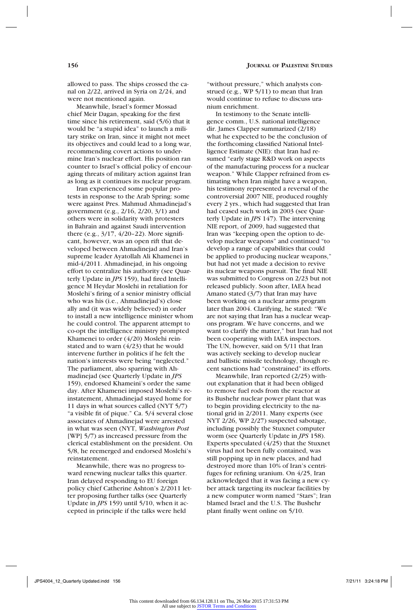allowed to pass. The ships crossed the canal on 2/22, arrived in Syria on 2/24, and were not mentioned again.

Meanwhile, Israel's former Mossad chief Meir Dagan, speaking for the first time since his retirement, said (5/6) that it would be "a stupid idea" to launch a military strike on Iran, since it might not meet its objectives and could lead to a long war, recommending covert actions to undermine Iran's nuclear effort. His position ran counter to Israel's official policy of encouraging threats of military action against Iran as long as it continues its nuclear program.

Iran experienced some popular protests in response to the Arab Spring: some were against Pres. Mahmud Ahmadinejad's government (e.g., 2/16, 2/20, 3/1) and others were in solidarity with protesters in Bahrain and against Saudi intervention there (e.g., 3/17, 4/20–22). More significant, however, was an open rift that developed between Ahmadinejad and Iran's supreme leader Ayatollah Ali Khamenei in mid-4/2011. Ahmadinejad, in his ongoing effort to centralize his authority (see Quarterly Update in *JPS* 159), had fired Intelligence M Heydar Moslehi in retaliation for Moslehi's firing of a senior ministry official who was his (i.e., Ahmadinejad's) close ally and (it was widely believed) in order to install a new intelligence minister whom he could control. The apparent attempt to co-opt the intelligence ministry prompted Khamenei to order (4/20) Moslehi reinstated and to warn (4/23) that he would intervene further in politics if he felt the nation's interests were being "neglected." The parliament, also sparring with Ahmadinejad (see Quarterly Update in *JPS* 159), endorsed Khameini's order the same day. After Khamenei imposed Moslehi's reinstatement, Ahmadinejad stayed home for 11 days in what sources called (NYT 5/7) "a visible fit of pique." Ca. 5/4 several close associates of Ahmadinejad were arrested in what was seen (NYT, *Washington Post*  [WP] 5/7) as increased pressure from the clerical establishment on the president. On 5/8, he reemerged and endorsed Moslehi's reinstatement.

Meanwhile, there was no progress toward renewing nuclear talks this quarter. Iran delayed responding to EU foreign policy chief Catherine Ashton's 2/2011 letter proposing further talks (see Quarterly Update in *JPS* 159) until 5/10, when it accepted in principle if the talks were held

"without pressure," which analysts construed (e.g., WP 5/11) to mean that Iran would continue to refuse to discuss uranium enrichment.

In testimony to the Senate intelligence comm., U.S. national intelligence dir. James Clapper summarized (2/18) what he expected to be the conclusion of the forthcoming classified National Intelligence Estimate (NIE): that Iran had resumed "early stage R&D work on aspects of the manufacturing process for a nuclear weapon." While Clapper refrained from estimating when Iran might have a weapon, his testimony represented a reversal of the controversial 2007 NIE, produced roughly every 2 yrs., which had suggested that Iran had ceased such work in 2003 (see Quarterly Update in *JPS* 147). The intervening NIE report, of 2009, had suggested that Iran was "keeping open the option to develop nuclear weapons" and continued "to develop a range of capabilities that could be applied to producing nuclear weapons," but had not yet made a decision to revive its nuclear weapons pursuit. The final NIE was submitted to Congress on 2/23 but not released publicly. Soon after, IAEA head Amano stated (3/7) that Iran may have been working on a nuclear arms program later than 2004. Clarifying, he stated: "We are not saying that Iran has a nuclear weapons program. We have concerns, and we want to clarify the matter," but Iran had not been cooperating with IAEA inspectors. The UN, however, said on 5/11 that Iran was actively seeking to develop nuclear and ballistic missile technology, though recent sanctions had "constrained" its efforts.

Meanwhile, Iran reported (2/25) without explanation that it had been obliged to remove fuel rods from the reactor at its Bushehr nuclear power plant that was to begin providing electricity to the national grid in 2/2011. Many experts (see NYT 2/26, WP 2/27) suspected sabotage, including possibly the Stuxnet computer worm (see Quarterly Update in *JPS* 158). Experts speculated (4/25) that the Stuxnet virus had not been fully contained, was still popping up in new places, and had destroyed more than 10% of Iran's centrifuges for refining uranium. On 4/25, Iran acknowledged that it was facing a new cyber attack targeting its nuclear facilities by a new computer worm named "Stars"; Iran blamed Israel and the U.S. The Bushehr plant finally went online on 5/10.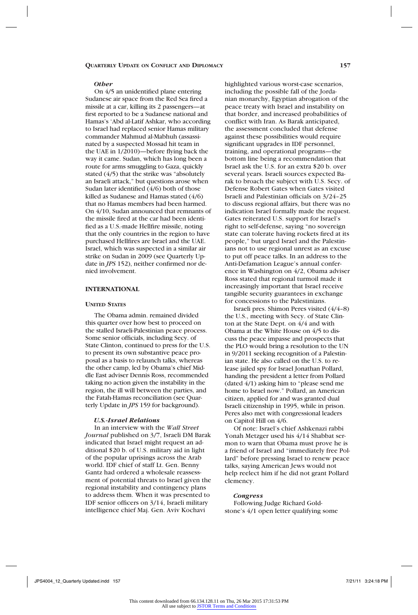# *Other*

On 4/5 an unidentified plane entering Sudanese air space from the Red Sea fired a missile at a car, killing its 2 passengers—at first reported to be a Sudanese national and Hamas's 'Abd al-Latif Ashkar, who according to Israel had replaced senior Hamas military commander Mahmud al-Mabhuh (assassinated by a suspected Mossad hit team in the UAE in 1/2010)—before flying back the way it came. Sudan, which has long been a route for arms smuggling to Gaza, quickly stated (4/5) that the strike was "absolutely an Israeli attack," but questions arose when Sudan later identified (4/6) both of those killed as Sudanese and Hamas stated (4/6) that no Hamas members had been harmed. On 4/10, Sudan announced that remnants of the missile fired at the car had been identified as a U.S.-made Hellfire missile, noting that the only countries in the region to have purchased Hellfires are Israel and the UAE. Israel, which was suspected in a similar air strike on Sudan in 2009 (see Quarterly Update in *JPS* 152), neither confirmed nor denied involvement.

# **INTERNATIONAL**

#### **United States**

The Obama admin. remained divided this quarter over how best to proceed on the stalled Israeli-Palestinian peace process. Some senior officials, including Secy. of State Clinton, continued to press for the U.S. to present its own substantive peace proposal as a basis to relaunch talks, whereas the other camp, led by Obama's chief Middle East adviser Dennis Ross, recommended taking no action given the instability in the region, the ill will between the parties, and the Fatah-Hamas reconciliation (see Quarterly Update in *JPS* 159 for background).

#### *U.S.-Israel Relations*

In an interview with the *Wall Street Journal* published on 3/7, Israeli DM Barak indicated that Israel might request an additional \$20 b. of U.S. military aid in light of the popular uprisings across the Arab world. IDF chief of staff Lt. Gen. Benny Gantz had ordered a wholesale reassessment of potential threats to Israel given the regional instability and contingency plans to address them. When it was presented to IDF senior officers on 3/14, Israeli military intelligence chief Maj. Gen. Aviv Kochavi

highlighted various worst-case scenarios, including the possible fall of the Jordanian monarchy, Egyptian abrogation of the peace treaty with Israel and instability on that border, and increased probabilities of conflict with Iran. As Barak anticipated, the assessment concluded that defense against these possibilities would require significant upgrades in IDF personnel, training, and operational programs—the bottom line being a recommendation that Israel ask the U.S. for an extra \$20 b. over several years. Israeli sources expected Barak to broach the subject with U.S. Secy. of Defense Robert Gates when Gates visited Israeli and Palestinian officials on 3/24–25 to discuss regional affairs, but there was no indication Israel formally made the request. Gates reiterated U.S. support for Israel's right to self-defense, saying "no sovereign state can tolerate having rockets fired at its people," but urged Israel and the Palestinians not to use regional unrest as an excuse to put off peace talks. In an address to the Anti-Defamation League's annual conference in Washington on 4/2, Obama adviser Ross stated that regional turmoil made it increasingly important that Israel receive tangible security guarantees in exchange for concessions to the Palestinians.

Israeli pres. Shimon Peres visited (4/4–8) the U.S., meeting with Secy. of State Clinton at the State Dept. on 4/4 and with Obama at the White House on 4/5 to discuss the peace impasse and prospects that the PLO would bring a resolution to the UN in 9/2011 seeking recognition of a Palestinian state. He also called on the U.S. to release jailed spy for Israel Jonathan Pollard, handing the president a letter from Pollard (dated 4/1) asking him to "please send me home to Israel now." Pollard, an American citizen, applied for and was granted dual Israeli citizenship in 1995, while in prison. Peres also met with congressional leaders on Capitol Hill on 4/6.

Of note: Israel's chief Ashkenazi rabbi Yonah Metzger used his 4/14 Shabbat sermon to warn that Obama must prove he is a friend of Israel and "immediately free Pollard" before pressing Israel to renew peace talks, saying American Jews would not help reelect him if he did not grant Pollard clemency.

# *Congress*

Following Judge Richard Goldstone's 4/1 open letter qualifying some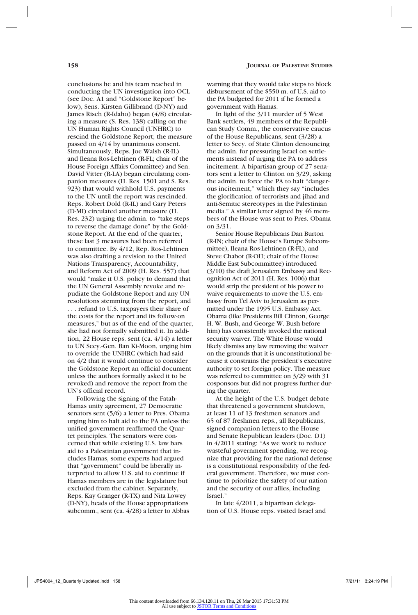low), Sens. Kirsten Gillibrand (D-NY) and James Risch (R-Idaho) began (4/8) circulating a measure (S. Res. 138) calling on the UN Human Rights Council (UNHRC) to rescind the Goldstone Report; the measure passed on 4/14 by unanimous consent. Simultaneously, Reps. Joe Walsh (R-IL) and Ileana Ros-Lehtinen (R-FL; chair of the House Foreign Affairs Committee) and Sen. David Vitter (R-LA) began circulating companion measures (H. Res. 1501 and S. Res. 923) that would withhold U.S. payments to the UN until the report was rescinded. Reps. Robert Dold (R-IL) and Gary Peters (D-MI) circulated another measure (H. Res. 232) urging the admin. to "take steps to reverse the damage done" by the Goldstone Report. At the end of the quarter, these last 3 measures had been referred to committee. By 4/12, Rep. Ros-Lehtinen was also drafting a revision to the United Nations Transparency, Accountability, and Reform Act of 2009 (H. Res. 557) that would "make it U.S. policy to demand that the UN General Assembly revoke and repudiate the Goldstone Report and any UN resolutions stemming from the report, and . . . refund to U.S. taxpayers their share of the costs for the report and its follow-on measures," but as of the end of the quarter, she had not formally submitted it. In addition, 22 House reps. sent (ca. 4/14) a letter to UN Secy.-Gen. Ban Ki-Moon, urging him to override the UNHRC (which had said on 4/2 that it would continue to consider the Goldstone Report an official document unless the authors formally asked it to be revoked) and remove the report from the UN's official record.

conclusions he and his team reached in conducting the UN investigation into OCL (see Doc. A1 and "Goldstone Report" be-

Following the signing of the Fatah-Hamas unity agreement, 27 Democratic senators sent (5/6) a letter to Pres. Obama urging him to halt aid to the PA unless the unified government reaffirmed the Quartet principles. The senators were concerned that while existing U.S. law bars aid to a Palestinian government that includes Hamas, some experts had argued that "government" could be liberally interpreted to allow U.S. aid to continue if Hamas members are in the legislature but excluded from the cabinet. Separately, Reps. Kay Granger (R-TX) and Nita Lowey (D-NY), heads of the House appropriations subcomm., sent (ca. 4/28) a letter to Abbas

warning that they would take steps to block disbursement of the \$550 m. of U.S. aid to the PA budgeted for 2011 if he formed a government with Hamas.

In light of the 3/11 murder of 5 West Bank settlers, 49 members of the Republican Study Comm., the conservative caucus of the House Republicans, sent (3/28) a letter to Secy. of State Clinton denouncing the admin. for pressuring Israel on settlements instead of urging the PA to address incitement. A bipartisan group of 27 senators sent a letter to Clinton on 3/29, asking the admin. to force the PA to halt "dangerous incitement," which they say "includes the glorification of terrorists and jihad and anti-Semitic stereotypes in the Palestinian media." A similar letter signed by 46 members of the House was sent to Pres. Obama on 3/31.

Senior House Republicans Dan Burton (R-IN; chair of the House's Europe Subcommittee), Ileana Ros-Lehtinen (R-FL), and Steve Chabot (R-OH; chair of the House Middle East Subcommittee) introduced (3/10) the draft Jerusalem Embassy and Recognition Act of 2011 (H. Res. 1006) that would strip the president of his power to waive requirements to move the U.S. embassy from Tel Aviv to Jerusalem as permitted under the 1995 U.S. Embassy Act. Obama (like Presidents Bill Clinton, George H. W. Bush, and George W. Bush before him) has consistently invoked the national security waiver. The White House would likely dismiss any law removing the waiver on the grounds that it is unconstitutional because it constrains the president's executive authority to set foreign policy. The measure was referred to committee on 3/29 with 31 cosponsors but did not progress further during the quarter.

At the height of the U.S. budget debate that threatened a government shutdown, at least 11 of 13 freshmen senators and 65 of 87 freshmen reps., all Republicans, signed companion letters to the House and Senate Republican leaders (Doc. D1) in 4/2011 stating: "As we work to reduce wasteful government spending, we recognize that providing for the national defense is a constitutional responsibility of the federal government. Therefore, we must continue to prioritize the safety of our nation and the security of our allies, including Israel."

In late 4/2011, a bipartisan delegation of U.S. House reps. visited Israel and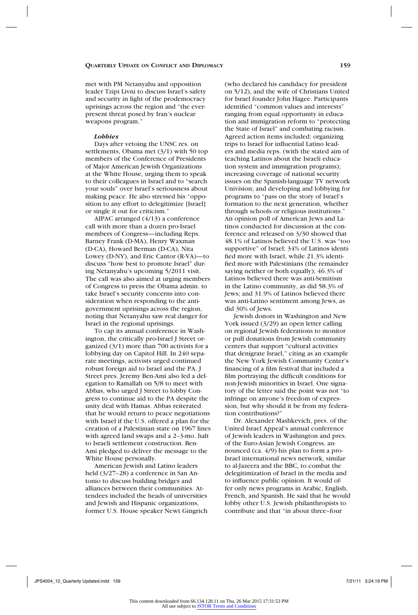met with PM Netanyahu and opposition leader Tzipi Livni to discuss Israel's safety and security in light of the prodemocracy uprisings across the region and "the everpresent threat posed by Iran's nuclear weapons program."

#### *Lobbies*

Days after vetoing the UNSC res. on settlements, Obama met (3/1) with 50 top members of the Conference of Presidents of Major American Jewish Organizations at the White House, urging them to speak to their colleagues in Israel and to "search your souls" over Israel's seriousness about making peace. He also stressed his "opposition to any effort to delegitimize [Israel] or single it out for criticism."

AIPAC arranged (4/13) a conference call with more than a dozen pro-Israel members of Congress—including Reps. Barney Frank (D-MA), Henry Waxman (D-CA), Howard Berman (D-CA), Nita Lowey (D-NY), and Eric Cantor (R-VA)—to discuss "how best to promote Israel" during Netanyahu's upcoming 5/2011 visit. The call was also aimed at urging members of Congress to press the Obama admin. to take Israel's security concerns into consideration when responding to the antigovernment uprisings across the region, noting that Netanyahu saw real danger for Israel in the regional uprisings.

To cap its annual conference in Washington, the critically pro-Israel J Street organized (3/1) more than 700 activists for a lobbying day on Capitol Hill. In 240 separate meetings, activists urged continued robust foreign aid to Israel and the PA. J Street pres. Jeremy Ben-Ami also led a delegation to Ramallah on 5/8 to meet with Abbas, who urged J Street to lobby Congress to continue aid to the PA despite the unity deal with Hamas. Abbas reiterated that he would return to peace negotiations with Israel if the U.S. offered a plan for the creation of a Palestinian state on 1967 lines with agreed land swaps and a 2–3-mo. halt to Israeli settlement construction. Ben-Ami pledged to deliver the message to the White House personally.

American Jewish and Latino leaders held (3/27–28) a conference in San Antonio to discuss building bridges and alliances between their communities. Attendees included the heads of universities and Jewish and Hispanic organizations, former U.S. House speaker Newt Gingrich

(who declared his candidacy for president on 5/12), and the wife of Christians United for Israel founder John Hagee. Participants identified "common values and interests" ranging from equal opportunity in education and immigration reform to "protecting the State of Israel" and combating racism. Agreed action items included: organizing trips to Israel for influential Latino leaders and media reps. (with the stated aim of teaching Latinos about the Israeli education system and immigration programs); increasing coverage of national security issues on the Spanish-language TV network Univision; and developing and lobbying for programs to "pass on the story of Israel's formation to the next generation, whether through schools or religious institutions." An opinion poll of American Jews and Latinos conducted for discussion at the conference and released on 3/30 showed that 48.1% of Latinos believed the U.S. was "too supportive" of Israel; 34% of Latinos identified more with Israel, while 21.3% identified more with Palestinians (the remainder saying neither or both equally); 46.3% of Latinos believed there was anti-Semitism in the Latino community, as did 58.3% of Jews; and 31.9% of Latinos believed there was anti-Latino sentiment among Jews, as did 30% of Jews.

Jewish donors in Washington and New York issued (3/29) an open letter calling on regional Jewish federations to monitor or pull donations from Jewish community centers that support "cultural activities that denigrate Israel," citing as an example the New York Jewish Community Center's financing of a film festival that included a film portraying the difficult conditions for non-Jewish minorities in Israel. One signatory of the letter said the point was not "to infringe on anyone's freedom of expression, but why should it be from my federation contributions?"

Dr. Alexander Mashkevich, pres. of the United Israel Appeal's annual conference of Jewish leaders in Washington and pres. of the Euro-Asian Jewish Congress, announced (ca. 4/9) his plan to form a pro-Israel international news network, similar to al-Jazeera and the BBC, to combat the delegitimization of Israel in the media and to influence public opinion. It would offer only news programs in Arabic, English, French, and Spanish. He said that he would lobby other U.S. Jewish philanthropists to contribute and that "in about three–four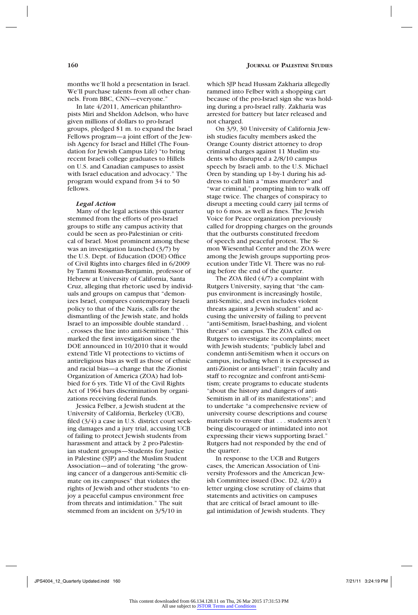months we'll hold a presentation in Israel. We'll purchase talents from all other channels. From BBC, CNN—everyone."

In late 4/2011, American philanthropists Miri and Sheldon Adelson, who have given millions of dollars to pro-Israel groups, pledged \$1 m. to expand the Israel Fellows program—a joint effort of the Jewish Agency for Israel and Hillel (The Foundation for Jewish Campus Life) "to bring recent Israeli college graduates to Hillels on U.S. and Canadian campuses to assist with Israel education and advocacy." The program would expand from 34 to 50 fellows.

# *Legal Action*

Many of the legal actions this quarter stemmed from the efforts of pro-Israel groups to stifle any campus activity that could be seen as pro-Palestinian or critical of Israel. Most prominent among these was an investigation launched (3/7) by the U.S. Dept. of Education (DOE) Office of Civil Rights into charges filed in 6/2009 by Tammi Rossman-Benjamin, professor of Hebrew at University of California, Santa Cruz, alleging that rhetoric used by individuals and groups on campus that "demonizes Israel, compares contemporary Israeli policy to that of the Nazis, calls for the dismantling of the Jewish state, and holds Israel to an impossible double standard . . . crosses the line into anti-Semitism." This marked the first investigation since the DOE announced in 10/2010 that it would extend Title VI protections to victims of antireligious bias as well as those of ethnic and racial bias—a change that the Zionist Organization of America (ZOA) had lobbied for 6 yrs. Title VI of the Civil Rights Act of 1964 bars discrimination by organizations receiving federal funds.

Jessica Felber, a Jewish student at the University of California, Berkeley (UCB), filed (3/4) a case in U.S. district court seeking damages and a jury trial, accusing UCB of failing to protect Jewish students from harassment and attack by 2 pro-Palestinian student groups—Students for Justice in Palestine (SJP) and the Muslim Student Association—and of tolerating "the growing cancer of a dangerous anti-Semitic climate on its campuses" that violates the rights of Jewish and other students "to enjoy a peaceful campus environment free from threats and intimidation." The suit stemmed from an incident on 3/5/10 in

which SJP head Hussam Zakharia allegedly rammed into Felber with a shopping cart because of the pro-Israel sign she was holding during a pro-Israel rally. Zakharia was arrested for battery but later released and not charged.

On 3/9, 30 University of California Jewish studies faculty members asked the Orange County district attorney to drop criminal charges against 11 Muslim students who disrupted a 2/8/10 campus speech by Israeli amb. to the U.S. Michael Oren by standing up 1-by-1 during his address to call him a "mass murderer" and "war criminal," prompting him to walk off stage twice. The charges of conspiracy to disrupt a meeting could carry jail terms of up to 6 mos. as well as fines. The Jewish Voice for Peace organization previously called for dropping charges on the grounds that the outbursts constituted freedom of speech and peaceful protest. The Simon Wiesenthal Center and the ZOA were among the Jewish groups supporting prosecution under Title VI. There was no ruling before the end of the quarter.

The ZOA filed (4/7) a complaint with Rutgers University, saying that "the campus environment is increasingly hostile, anti-Semitic, and even includes violent threats against a Jewish student" and accusing the university of failing to prevent "anti-Semitism, Israel-bashing, and violent threats" on campus. The ZOA called on Rutgers to investigate its complaints; meet with Jewish students; "publicly label and condemn anti-Semitism when it occurs on campus, including when it is expressed as anti-Zionist or anti-Israel"; train faculty and staff to recognize and confront anti-Semitism; create programs to educate students "about the history and dangers of anti-Semitism in all of its manifestations"; and to undertake "a comprehensive review of university course descriptions and course materials to ensure that . . . students aren't being discouraged or intimidated into not expressing their views supporting Israel." Rutgers had not responded by the end of the quarter.

In response to the UCB and Rutgers cases, the American Association of University Professors and the American Jewish Committee issued (Doc. D2, 4/20) a letter urging close scrutiny of claims that statements and activities on campuses that are critical of Israel amount to illegal intimidation of Jewish students. They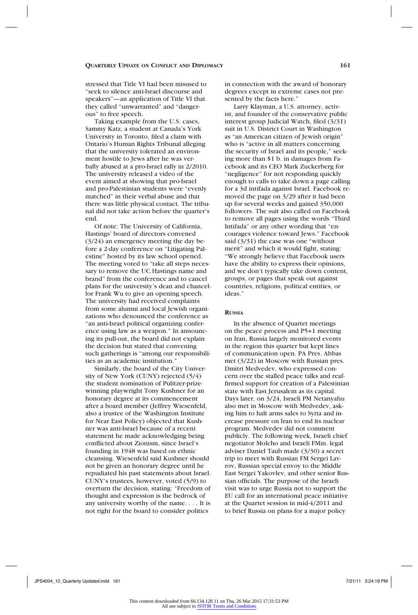stressed that Title VI had been misused to "seek to silence anti-Israel discourse and speakers"—an application of Title VI that they called "unwarranted" and "dangerous" to free speech.

Taking example from the U.S. cases, Sammy Katz, a student at Canada's York University in Toronto, filed a claim with Ontario's Human Rights Tribunal alleging that the university tolerated an environment hostile to Jews after he was verbally abused at a pro-Israel rally in 2/2010. The university released a video of the event aimed at showing that pro-Israel and pro-Palestinian students were "evenly matched" in their verbal abuse and that there was little physical contact. The tribunal did not take action before the quarter's end.

Of note: The University of California, Hastings' board of directors convened (3/24) an emergency meeting the day before a 2-day conference on "Litigating Palestine" hosted by its law school opened. The meeting voted to "take all steps necessary to remove the UC Hastings name and brand" from the conference and to cancel plans for the university's dean and chancellor Frank Wu to give an opening speech. The university had received complaints from some alumni and local Jewish organizations who denounced the conference as "an anti-Israel political organizing conference using law as a weapon." In announcing its pull-out, the board did not explain the decision but stated that convening such gatherings is "among our responsibilities as an academic institution."

Similarly, the board of the City University of New York (CUNY) rejected (5/4) the student nomination of Pulitzer-prizewinning playwright Tony Kushner for an honorary degree at its commencement after a board member (Jeffrey Wiesenfeld, also a trustee of the Washington Institute for Near East Policy) objected that Kushner was anti-Israel because of a recent statement he made acknowledging being conflicted about Zionism, since Israel's founding in 1948 was based on ethnic cleansing. Wiesenfeld said Kushner should not be given an honorary degree until he repudiated his past statements about Israel. CUNY's trustees, however, voted (5/9) to overturn the decision, stating: "Freedom of thought and expression is the bedrock of any university worthy of the name. . . . It is not right for the board to consider politics

in connection with the award of honorary degrees except in extreme cases not presented by the facts here."

Larry Klayman, a U.S. attorney, activist, and founder of the conservative public interest group Judicial Watch, filed (3/31) suit in U.S. District Court in Washington as "an American citizen of Jewish origin" who is "active in all matters concerning the security of Israel and its people," seeking more than \$1 b. in damages from Facebook and its CEO Mark Zuckerberg for "negligence" for not responding quickly enough to calls to take down a page calling for a 3d intifada against Israel. Facebook removed the page on 3/29 after it had been up for several weeks and gained 350,000 followers. The suit also called on Facebook to remove all pages using the words "Third Intifada" or any other wording that "encourages violence toward Jews." Facebook said (3/31) the case was one "without merit" and which it would fight, stating: "We strongly believe that Facebook users have the ability to express their opinions, and we don't typically take down content, groups, or pages that speak out against countries, religions, political entities, or ideas<sup>?</sup>

#### **Russia**

In the absence of Quartet meetings on the peace process and P5+1 meeting on Iran, Russia largely monitored events in the region this quarter but kept lines of communication open. PA Pres. Abbas met (3/22) in Moscow with Russian pres. Dmitri Medvedev, who expressed concern over the stalled peace talks and reaffirmed support for creation of a Palestinian state with East Jerusalem as its capital. Days later, on 3/24, Israeli PM Netanyahu also met in Moscow with Medvedev, asking him to halt arms sales to Syria and increase pressure on Iran to end its nuclear program. Medvedev did not comment publicly. The following week, Israeli chief negotiator Molcho and Israeli FMin. legal adviser Daniel Taub made (3/30) a secret trip to meet with Russian FM Sergei Lavrov, Russian special envoy to the Middle East Sergei Yakovlev, and other senior Russian officials. The purpose of the Israeli visit was to urge Russia not to support the EU call for an international peace initiative at the Quartet session in mid-4/2011 and to brief Russia on plans for a major policy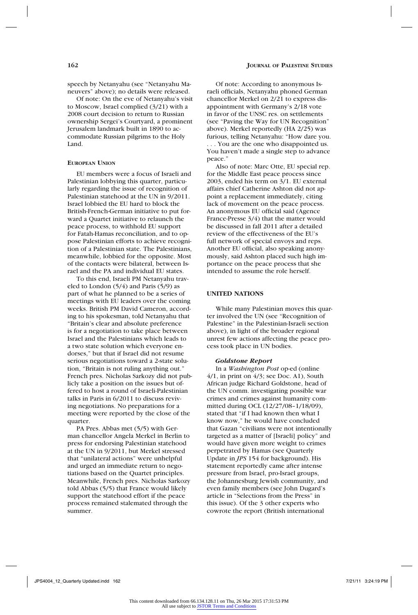speech by Netanyahu (see "Netanyahu Maneuvers" above); no details were released.

Of note: On the eve of Netanyahu's visit to Moscow, Israel complied (3/21) with a 2008 court decision to return to Russian ownership Sergei's Courtyard, a prominent Jerusalem landmark built in 1890 to accommodate Russian pilgrims to the Holy Land.

# **European Union**

EU members were a focus of Israeli and Palestinian lobbying this quarter, particularly regarding the issue of recognition of Palestinian statehood at the UN in 9/2011. Israel lobbied the EU hard to block the British-French-German initiative to put forward a Quartet initiative to relaunch the peace process, to withhold EU support for Fatah-Hamas reconciliation, and to oppose Palestinian efforts to achieve recognition of a Palestinian state. The Palestinians, meanwhile, lobbied for the opposite. Most of the contacts were bilateral, between Israel and the PA and individual EU states.

To this end, Israeli PM Netanyahu traveled to London (5/4) and Paris (5/9) as part of what he planned to be a series of meetings with EU leaders over the coming weeks. British PM David Cameron, according to his spokesman, told Netanyahu that "Britain's clear and absolute preference is for a negotiation to take place between Israel and the Palestinians which leads to a two state solution which everyone endorses," but that if Israel did not resume serious negotiations toward a 2-state solution, "Britain is not ruling anything out." French pres. Nicholas Sarkozy did not publicly take a position on the issues but offered to host a round of Israeli-Palestinian talks in Paris in 6/2011 to discuss reviving negotiations. No preparations for a meeting were reported by the close of the quarter.

PA Pres. Abbas met (5/5) with German chancellor Angela Merkel in Berlin to press for endorsing Palestinian statehood at the UN in 9/2011, but Merkel stressed that "unilateral actions" were unhelpful and urged an immediate return to negotiations based on the Quartet principles. Meanwhile, French pres. Nicholas Sarkozy told Abbas (5/5) that France would likely support the statehood effort if the peace process remained stalemated through the summer.

Of note: According to anonymous Israeli officials, Netanyahu phoned German chancellor Merkel on 2/21 to express disappointment with Germany's 2/18 vote in favor of the UNSC res. on settlements (see "Paving the Way for UN Recognition" above). Merkel reportedly (HA 2/25) was furious, telling Netanyahu: "How dare you. . . . You are the one who disappointed us. You haven't made a single step to advance peace."

Also of note: Marc Otte, EU special rep. for the Middle East peace process since 2003, ended his term on 3/1. EU external affairs chief Catherine Ashton did not appoint a replacement immediately, citing lack of movement on the peace process. An anonymous EU official said (Agence France-Presse 3/4) that the matter would be discussed in fall 2011 after a detailed review of the effectiveness of the EU's full network of special envoys and reps. Another EU official, also speaking anonymously, said Ashton placed such high importance on the peace process that she intended to assume the role herself.

# **United Nations**

While many Palestinian moves this quarter involved the UN (see "Recognition of Palestine" in the Palestinian-Israeli section above), in light of the broader regional unrest few actions affecting the peace process took place in UN bodies.

#### *Goldstone Report*

In a *Washington Post* op-ed (online  $4/1$ , in print on  $4/3$ ; see Doc. A1), South African judge Richard Goldstone, head of the UN comm. investigating possible war crimes and crimes against humanity committed during OCL (12/27/08–1/18/09), stated that "if I had known then what I know now," he would have concluded that Gazan "civilians were not intentionally targeted as a matter of [Israeli] policy" and would have given more weight to crimes perpetrated by Hamas (see Quarterly Update in *JPS* 154 for background). His statement reportedly came after intense pressure from Israel, pro-Israel groups, the Johannesburg Jewish community, and even family members (see John Dugard's article in "Selections from the Press" in this issue). Of the 3 other experts who cowrote the report (British international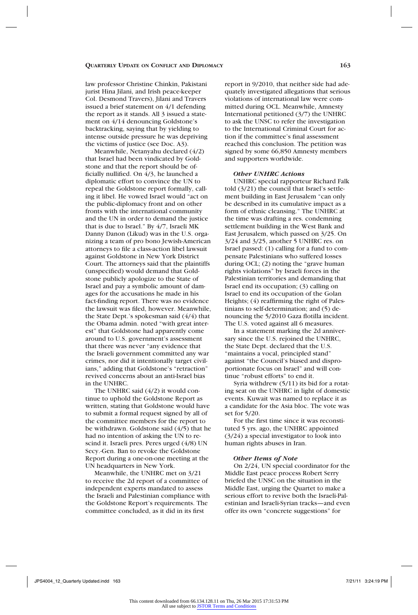law professor Christine Chinkin, Pakistani jurist Hina Jilani, and Irish peace-keeper Col. Desmond Travers), Jilani and Travers issued a brief statement on 4/1 defending the report as it stands. All 3 issued a statement on 4/14 denouncing Goldstone's backtracking, saying that by yielding to intense outside pressure he was depriving the victims of justice (see Doc. A3).

Meanwhile, Netanyahu declared (4/2) that Israel had been vindicated by Goldstone and that the report should be officially nullified. On  $\frac{2}{3}$ , he launched a diplomatic effort to convince the UN to repeal the Goldstone report formally, calling it libel. He vowed Israel would "act on the public-diplomacy front and on other fronts with the international community and the UN in order to demand the justice that is due to Israel." By 4/7, Israeli MK Danny Danon (Likud) was in the U.S. organizing a team of pro bono Jewish-American attorneys to file a class-action libel lawsuit against Goldstone in New York District Court. The attorneys said that the plaintiffs (unspecified) would demand that Goldstone publicly apologize to the State of Israel and pay a symbolic amount of damages for the accusations he made in his fact-finding report. There was no evidence the lawsuit was filed, however. Meanwhile, the State Dept.'s spokesman said (4/4) that the Obama admin. noted "with great interest" that Goldstone had apparently come around to U.S. government's assessment that there was never "any evidence that the Israeli government committed any war crimes, nor did it intentionally target civilians," adding that Goldstone's "retraction" revived concerns about an anti-Israel bias in the UNHRC.

The UNHRC said (4/2) it would continue to uphold the Goldstone Report as written, stating that Goldstone would have to submit a formal request signed by all of the committee members for the report to be withdrawn. Goldstone said (4/5) that he had no intention of asking the UN to rescind it. Israeli pres. Peres urged (4/8) UN Secy.-Gen. Ban to revoke the Goldstone Report during a one-on-one meeting at the UN headquarters in New York.

Meanwhile, the UNHRC met on 3/21 to receive the 2d report of a committee of independent experts mandated to assess the Israeli and Palestinian compliance with the Goldstone Report's requirements. The committee concluded, as it did in its first

report in 9/2010, that neither side had adequately investigated allegations that serious violations of international law were committed during OCL. Meanwhile, Amnesty International petitioned (3/7) the UNHRC to ask the UNSC to refer the investigation to the International Criminal Court for action if the committee's final assessment reached this conclusion. The petition was signed by some 66,850 Amnesty members and supporters worldwide.

# *Other UNHRC Actions*

UNHRC special rapporteur Richard Falk told (3/21) the council that Israel's settlement building in East Jerusalem "can only be described in its cumulative impact as a form of ethnic cleansing." The UNHRC at the time was drafting a res. condemning settlement building in the West Bank and East Jerusalem, which passed on 3/25. On 3/24 and 3/25, another 5 UNHRC res. on Israel passed: (1) calling for a fund to compensate Palestinians who suffered losses during OCL; (2) noting the "grave human rights violations" by Israeli forces in the Palestinian territories and demanding that Israel end its occupation; (3) calling on Israel to end its occupation of the Golan Heights; (4) reaffirming the right of Palestinians to self-determination; and (5) denouncing the 5/2010 Gaza flotilla incident. The U.S. voted against all 6 measures.

In a statement marking the 2d anniversary since the U.S. rejoined the UNHRC, the State Dept. declared that the U.S. "maintains a vocal, principled stand" against "the Council's biased and disproportionate focus on Israel" and will continue "robust efforts" to end it.

Syria withdrew (5/11) its bid for a rotating seat on the UNHRC in light of domestic events. Kuwait was named to replace it as a candidate for the Asia bloc. The vote was set for 5/20.

For the first time since it was reconstituted 5 yrs. ago, the UNHRC appointed (3/24) a special investigator to look into human rights abuses in Iran.

### *Other Items of Note*

On 2/24, UN special coordinator for the Middle East peace process Robert Serry briefed the UNSC on the situation in the Middle East, urging the Quartet to make a serious effort to revive both the Israeli-Palestinian and Israeli-Syrian tracks—and even offer its own "concrete suggestions" for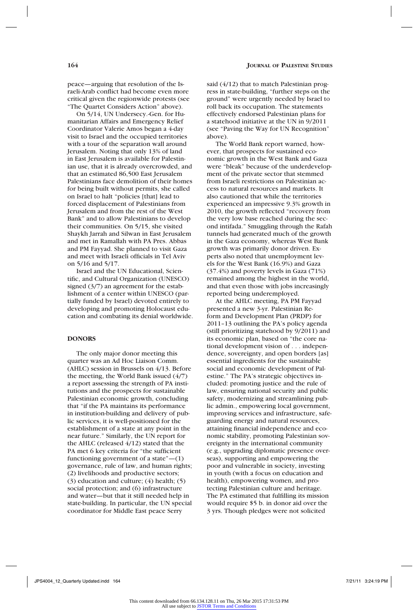peace—arguing that resolution of the Israeli-Arab conflict had become even more critical given the regionwide protests (see "The Quartet Considers Action" above).

On 5/14, UN Undersecy.-Gen. for Humanitarian Affairs and Emergency Relief Coordinator Valerie Amos began a 4-day visit to Israel and the occupied territories with a tour of the separation wall around Jerusalem. Noting that only 13% of land in East Jerusalem is available for Palestinian use, that it is already overcrowded, and that an estimated 86,500 East Jerusalem Palestinians face demolition of their homes for being built without permits, she called on Israel to halt "policies [that] lead to forced displacement of Palestinians from Jerusalem and from the rest of the West Bank" and to allow Palestinians to develop their communities. On 5/15, she visited Shaykh Jarrah and Silwan in East Jerusalem and met in Ramallah with PA Pres. Abbas and PM Fayyad. She planned to visit Gaza and meet with Israeli officials in Tel Aviv on 5/16 and 5/17.

Israel and the UN Educational, Scientific, and Cultural Organization (UNESCO) signed (3/7) an agreement for the establishment of a center within UNESCO (partially funded by Israel) devoted entirely to developing and promoting Holocaust education and combating its denial worldwide.

#### **DONORS**

The only major donor meeting this quarter was an Ad Hoc Liaison Comm. (AHLC) session in Brussels on 4/13. Before the meeting, the World Bank issued (4/7) a report assessing the strength of PA institutions and the prospects for sustainable Palestinian economic growth, concluding that "if the PA maintains its performance in institution-building and delivery of public services, it is well-positioned for the establishment of a state at any point in the near future." Similarly, the UN report for the AHLC (released 4/12) stated that the PA met 6 key criteria for "the sufficient functioning government of a state" $-(1)$ governance, rule of law, and human rights; (2) livelihoods and productive sectors; (3) education and culture; (4) health; (5) social protection; and (6) infrastructure and water—but that it still needed help in state-building. In particular, the UN special coordinator for Middle East peace Serry

said (4/12) that to match Palestinian progress in state-building, "further steps on the ground" were urgently needed by Israel to roll back its occupation. The statements effectively endorsed Palestinian plans for a statehood initiative at the UN in 9/2011 (see "Paving the Way for UN Recognition" above).

The World Bank report warned, however, that prospects for sustained economic growth in the West Bank and Gaza were "bleak" because of the underdevelopment of the private sector that stemmed from Israeli restrictions on Palestinian access to natural resources and markets. It also cautioned that while the territories experienced an impressive 9.3% growth in 2010, the growth reflected "recovery from the very low base reached during the second intifada." Smuggling through the Rafah tunnels had generated much of the growth in the Gaza economy, whereas West Bank growth was primarily donor driven. Experts also noted that unemployment levels for the West Bank (16.9%) and Gaza (37.4%) and poverty levels in Gaza (71%) remained among the highest in the world, and that even those with jobs increasingly reported being underemployed.

At the AHLC meeting, PA PM Fayyad presented a new 3-yr. Palestinian Reform and Development Plan (PRDP) for 2011–13 outlining the PA's policy agenda (still prioritizing statehood by 9/2011) and its economic plan, based on "the core national development vision of . . . independence, sovereignty, and open borders [as] essential ingredients for the sustainable social and economic development of Palestine." The PA's strategic objectives included: promoting justice and the rule of law, ensuring national security and public safety, modernizing and streamlining public admin., empowering local government, improving services and infrastructure, safeguarding energy and natural resources, attaining financial independence and economic stability, promoting Palestinian sovereignty in the international community (e.g., upgrading diplomatic presence overseas), supporting and empowering the poor and vulnerable in society, investing in youth (with a focus on education and health), empowering women, and protecting Palestinian culture and heritage. The PA estimated that fulfilling its mission would require \$5 b. in donor aid over the 3 yrs. Though pledges were not solicited